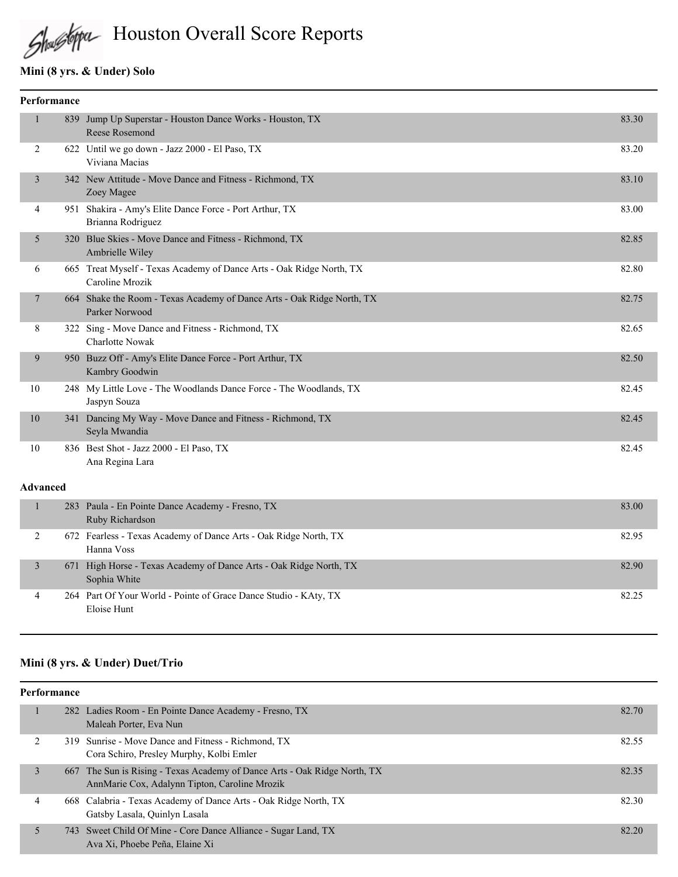

# Houston Overall Score Reports

## **Mini (8 yrs. & Under) Solo**

| Performance |  |                                                                                          |       |
|-------------|--|------------------------------------------------------------------------------------------|-------|
|             |  | 839 Jump Up Superstar - Houston Dance Works - Houston, TX<br><b>Reese Rosemond</b>       | 83.30 |
| 2           |  | 622 Until we go down - Jazz 2000 - El Paso, TX<br>Viviana Macias                         | 83.20 |
| 3           |  | 342 New Attitude - Move Dance and Fitness - Richmond, TX<br>Zoey Magee                   | 83.10 |
| 4           |  | 951 Shakira - Amy's Elite Dance Force - Port Arthur, TX<br>Brianna Rodriguez             | 83.00 |
| 5           |  | 320 Blue Skies - Move Dance and Fitness - Richmond, TX<br>Ambrielle Wiley                | 82.85 |
| 6           |  | 665 Treat Myself - Texas Academy of Dance Arts - Oak Ridge North, TX<br>Caroline Mrozik  | 82.80 |
| 7           |  | 664 Shake the Room - Texas Academy of Dance Arts - Oak Ridge North, TX<br>Parker Norwood | 82.75 |
| 8           |  | 322 Sing - Move Dance and Fitness - Richmond, TX<br><b>Charlotte Nowak</b>               | 82.65 |
| 9           |  | 950 Buzz Off - Amy's Elite Dance Force - Port Arthur, TX<br>Kambry Goodwin               | 82.50 |
| 10          |  | 248 My Little Love - The Woodlands Dance Force - The Woodlands, TX<br>Jaspyn Souza       | 82.45 |
| 10          |  | 341 Dancing My Way - Move Dance and Fitness - Richmond, TX<br>Seyla Mwandia              | 82.45 |
| 10          |  | 836 Best Shot - Jazz 2000 - El Paso, TX<br>Ana Regina Lara                               | 82.45 |

#### **Advanced**

| 283 Paula - En Pointe Dance Academy - Fresno, TX<br>Ruby Richardson                | 83.00 |
|------------------------------------------------------------------------------------|-------|
| 672 Fearless - Texas Academy of Dance Arts - Oak Ridge North, TX<br>Hanna Voss     | 82.95 |
| 671 High Horse - Texas Academy of Dance Arts - Oak Ridge North, TX<br>Sophia White | 82.90 |
| 264 Part Of Your World - Pointe of Grace Dance Studio - KAty, TX<br>Eloise Hunt    | 82.25 |

## **Mini (8 yrs. & Under) Duet/Trio**

| Performance |   |  |                                                                                                                            |       |
|-------------|---|--|----------------------------------------------------------------------------------------------------------------------------|-------|
|             |   |  | 282 Ladies Room - En Pointe Dance Academy - Fresno, TX<br>Maleah Porter, Eva Nun                                           | 82.70 |
|             | 2 |  | 319 Sunrise - Move Dance and Fitness - Richmond, TX<br>Cora Schiro, Presley Murphy, Kolbi Emler                            | 82.55 |
|             | 3 |  | 667 The Sun is Rising - Texas Academy of Dance Arts - Oak Ridge North, TX<br>AnnMarie Cox, Adalynn Tipton, Caroline Mrozik | 82.35 |
|             | 4 |  | 668 Calabria - Texas Academy of Dance Arts - Oak Ridge North, TX<br>Gatsby Lasala, Quinlyn Lasala                          | 82.30 |
|             |   |  | 743 Sweet Child Of Mine - Core Dance Alliance - Sugar Land, TX<br>Ava Xi, Phoebe Peña, Elaine Xi                           | 82.20 |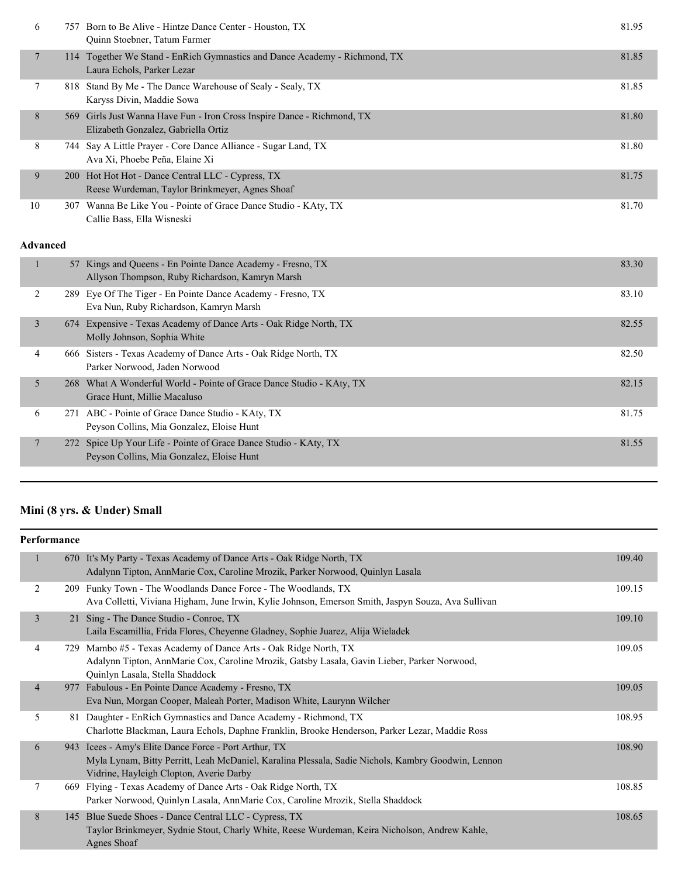| 6  | 757 - | Born to Be Alive - Hintze Dance Center - Houston, TX<br>Quinn Stoebner, Tatum Farmer                           | 81.95 |
|----|-------|----------------------------------------------------------------------------------------------------------------|-------|
|    |       | 114 Together We Stand - EnRich Gymnastics and Dance Academy - Richmond, TX<br>Laura Echols, Parker Lezar       | 81.85 |
|    |       | 818 Stand By Me - The Dance Warehouse of Sealy - Sealy, TX<br>Karyss Divin, Maddie Sowa                        | 81.85 |
| 8  |       | 569 Girls Just Wanna Have Fun - Iron Cross Inspire Dance - Richmond, TX<br>Elizabeth Gonzalez, Gabriella Ortiz | 81.80 |
| 8  |       | 744 Say A Little Prayer - Core Dance Alliance - Sugar Land, TX<br>Ava Xi, Phoebe Peña, Elaine Xi               | 81.80 |
| 9  |       | 200 Hot Hot Hot - Dance Central LLC - Cypress, TX<br>Reese Wurdeman, Taylor Brinkmeyer, Agnes Shoaf            | 81.75 |
| 10 |       | 307 Wanna Be Like You - Pointe of Grace Dance Studio - KAty, TX<br>Callie Bass, Ella Wisneski                  | 81.70 |

#### **Advanced**

|                 | 57 Kings and Queens - En Pointe Dance Academy - Fresno, TX<br>Allyson Thompson, Ruby Richardson, Kamryn Marsh | 83.30 |
|-----------------|---------------------------------------------------------------------------------------------------------------|-------|
| 2               | 289 Eye Of The Tiger - En Pointe Dance Academy - Fresno, TX<br>Eva Nun, Ruby Richardson, Kamryn Marsh         | 83.10 |
| 3               | 674 Expensive - Texas Academy of Dance Arts - Oak Ridge North, TX<br>Molly Johnson, Sophia White              | 82.55 |
| 4               | 666 Sisters - Texas Academy of Dance Arts - Oak Ridge North, TX<br>Parker Norwood, Jaden Norwood              | 82.50 |
| 5               | 268 What A Wonderful World - Pointe of Grace Dance Studio - KAty, TX<br>Grace Hunt, Millie Macaluso           | 82.15 |
| 6               | 271 ABC - Pointe of Grace Dance Studio - KAty, TX<br>Peyson Collins, Mia Gonzalez, Eloise Hunt                | 81.75 |
| $7\phantom{.0}$ | 272 Spice Up Your Life - Pointe of Grace Dance Studio - KAty, TX<br>Peyson Collins, Mia Gonzalez, Eloise Hunt | 81.55 |
|                 |                                                                                                               |       |

## **Mini (8 yrs. & Under) Small**

|                | Performance |                                                                                                                                                                                                    |        |  |
|----------------|-------------|----------------------------------------------------------------------------------------------------------------------------------------------------------------------------------------------------|--------|--|
| 1              |             | 670 It's My Party - Texas Academy of Dance Arts - Oak Ridge North, TX<br>Adalynn Tipton, AnnMarie Cox, Caroline Mrozik, Parker Norwood, Quinlyn Lasala                                             | 109.40 |  |
| 2              |             | 209 Funky Town - The Woodlands Dance Force - The Woodlands, TX<br>Ava Colletti, Viviana Higham, June Irwin, Kylie Johnson, Emerson Smith, Jaspyn Souza, Ava Sullivan                               | 109.15 |  |
| $\overline{3}$ |             | 21 Sing - The Dance Studio - Conroe, TX<br>Laila Escamillia, Frida Flores, Cheyenne Gladney, Sophie Juarez, Alija Wieladek                                                                         | 109.10 |  |
| 4              | 729         | Mambo #5 - Texas Academy of Dance Arts - Oak Ridge North, TX<br>Adalynn Tipton, AnnMarie Cox, Caroline Mrozik, Gatsby Lasala, Gavin Lieber, Parker Norwood,<br>Quinlyn Lasala, Stella Shaddock     | 109.05 |  |
| $\overline{4}$ | 977         | Fabulous - En Pointe Dance Academy - Fresno, TX<br>Eva Nun, Morgan Cooper, Maleah Porter, Madison White, Laurynn Wilcher                                                                           | 109.05 |  |
| 5              |             | 81 Daughter - EnRich Gymnastics and Dance Academy - Richmond, TX<br>Charlotte Blackman, Laura Echols, Daphne Franklin, Brooke Henderson, Parker Lezar, Maddie Ross                                 | 108.95 |  |
| 6              | 943         | Icees - Amy's Elite Dance Force - Port Arthur, TX<br>Myla Lynam, Bitty Perritt, Leah McDaniel, Karalina Plessala, Sadie Nichols, Kambry Goodwin, Lennon<br>Vidrine, Hayleigh Clopton, Averie Darby | 108.90 |  |
| 7              |             | 669 Flying - Texas Academy of Dance Arts - Oak Ridge North, TX<br>Parker Norwood, Quinlyn Lasala, AnnMarie Cox, Caroline Mrozik, Stella Shaddock                                                   | 108.85 |  |
| 8              | 145         | Blue Suede Shoes - Dance Central LLC - Cypress, TX<br>Taylor Brinkmeyer, Sydnie Stout, Charly White, Reese Wurdeman, Keira Nicholson, Andrew Kahle,<br><b>Agnes Shoaf</b>                          | 108.65 |  |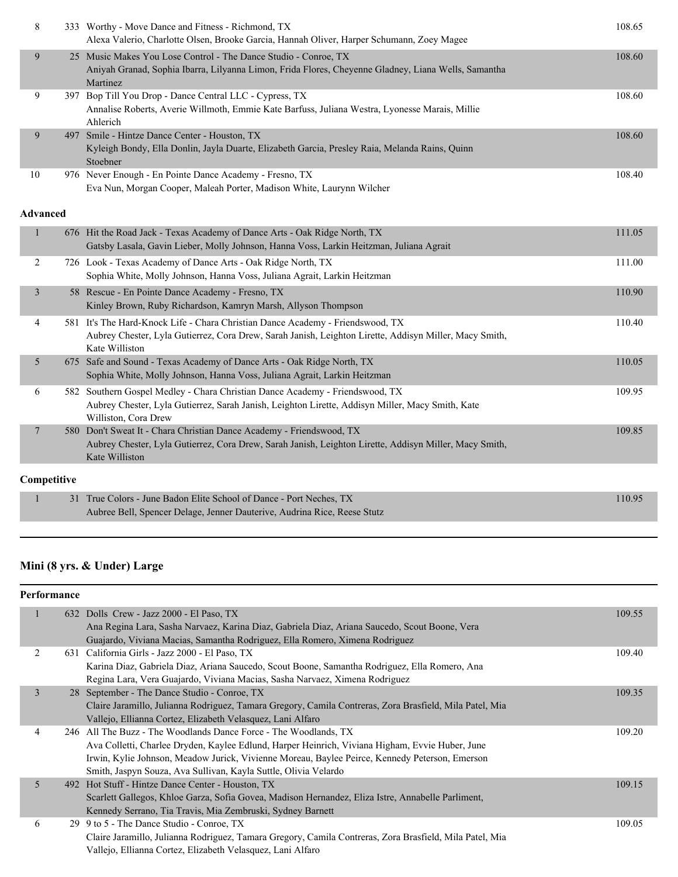| 8              |                 | 333 Worthy - Move Dance and Fitness - Richmond, TX<br>Alexa Valerio, Charlotte Olsen, Brooke Garcia, Hannah Oliver, Harper Schumann, Zoey Magee                                                            | 108.65 |
|----------------|-----------------|------------------------------------------------------------------------------------------------------------------------------------------------------------------------------------------------------------|--------|
| 9              |                 | 25 Music Makes You Lose Control - The Dance Studio - Conroe, TX<br>Aniyah Granad, Sophia Ibarra, Lilyanna Limon, Frida Flores, Cheyenne Gladney, Liana Wells, Samantha<br>Martinez                         | 108.60 |
| 9              |                 | 397 Bop Till You Drop - Dance Central LLC - Cypress, TX<br>Annalise Roberts, Averie Willmoth, Emmie Kate Barfuss, Juliana Westra, Lyonesse Marais, Millie<br>Ahlerich                                      | 108.60 |
| 9              |                 | 497 Smile - Hintze Dance Center - Houston, TX<br>Kyleigh Bondy, Ella Donlin, Jayla Duarte, Elizabeth Garcia, Presley Raia, Melanda Rains, Quinn<br>Stoebner                                                | 108.60 |
| 10             |                 | 976 Never Enough - En Pointe Dance Academy - Fresno, TX<br>Eva Nun, Morgan Cooper, Maleah Porter, Madison White, Laurynn Wilcher                                                                           | 108.40 |
|                | <b>Advanced</b> |                                                                                                                                                                                                            |        |
| 1              |                 | 676 Hit the Road Jack - Texas Academy of Dance Arts - Oak Ridge North, TX<br>Gatsby Lasala, Gavin Lieber, Molly Johnson, Hanna Voss, Larkin Heitzman, Juliana Agrait                                       | 111.05 |
| $\overline{c}$ |                 | 726 Look - Texas Academy of Dance Arts - Oak Ridge North, TX<br>Sophia White, Molly Johnson, Hanna Voss, Juliana Agrait, Larkin Heitzman                                                                   | 111.00 |
| 3              |                 | 58 Rescue - En Pointe Dance Academy - Fresno, TX<br>Kinley Brown, Ruby Richardson, Kamryn Marsh, Allyson Thompson                                                                                          | 110.90 |
| 4              |                 | 581 It's The Hard-Knock Life - Chara Christian Dance Academy - Friendswood, TX<br>Aubrey Chester, Lyla Gutierrez, Cora Drew, Sarah Janish, Leighton Lirette, Addisyn Miller, Macy Smith,<br>Kate Williston | 110.40 |
| 5              |                 | 675 Safe and Sound - Texas Academy of Dance Arts - Oak Ridge North, TX<br>Sophia White, Molly Johnson, Hanna Voss, Juliana Agrait, Larkin Heitzman                                                         | 110.05 |
| 6              |                 | 582 Southern Gospel Medley - Chara Christian Dance Academy - Friendswood, TX<br>Aubrey Chester, Lyla Gutierrez, Sarah Janish, Leighton Lirette, Addisyn Miller, Macy Smith, Kate<br>Williston, Cora Drew   | 109.95 |
| 7              |                 | 580 Don't Sweat It - Chara Christian Dance Academy - Friendswood, TX<br>Aubrey Chester, Lyla Gutierrez, Cora Drew, Sarah Janish, Leighton Lirette, Addisyn Miller, Macy Smith,<br>Kate Williston           | 109.85 |
|                | Competitive     |                                                                                                                                                                                                            |        |
| 1              |                 | 31 True Colors - June Badon Elite School of Dance - Port Neches, TX<br>Aubree Bell, Spencer Delage, Jenner Dauterive, Audrina Rice, Reese Stutz                                                            | 110.95 |

## **Mini (8 yrs. & Under) Large**

|                | 632 Dolls Crew - Jazz 2000 - El Paso, TX                                                                | 109.55 |
|----------------|---------------------------------------------------------------------------------------------------------|--------|
|                | Ana Regina Lara, Sasha Narvaez, Karina Diaz, Gabriela Diaz, Ariana Saucedo, Scout Boone, Vera           |        |
|                | Guajardo, Viviana Macias, Samantha Rodriguez, Ella Romero, Ximena Rodriguez                             |        |
| 2              | 631 California Girls - Jazz 2000 - El Paso, TX                                                          | 109.40 |
|                | Karina Diaz, Gabriela Diaz, Ariana Saucedo, Scout Boone, Samantha Rodriguez, Ella Romero, Ana           |        |
|                | Regina Lara, Vera Guajardo, Viviana Macias, Sasha Narvaez, Ximena Rodriguez                             |        |
| $\overline{3}$ | 28 September - The Dance Studio - Conroe, TX                                                            | 109.35 |
|                | Claire Jaramillo, Julianna Rodriguez, Tamara Gregory, Camila Contreras, Zora Brasfield, Mila Patel, Mia |        |
|                | Vallejo, Ellianna Cortez, Elizabeth Velasquez, Lani Alfaro                                              |        |
| 4              | 246 All The Buzz - The Woodlands Dance Force - The Woodlands, TX                                        | 109.20 |
|                | Ava Colletti, Charlee Dryden, Kaylee Edlund, Harper Heinrich, Viviana Higham, Evvie Huber, June         |        |
|                | Irwin, Kylie Johnson, Meadow Jurick, Vivienne Moreau, Baylee Peirce, Kennedy Peterson, Emerson          |        |
|                | Smith, Jaspyn Souza, Ava Sullivan, Kayla Suttle, Olivia Velardo                                         |        |
| 5              | 492 Hot Stuff - Hintze Dance Center - Houston, TX                                                       | 109.15 |
|                | Scarlett Gallegos, Khloe Garza, Sofia Govea, Madison Hernandez, Eliza Istre, Annabelle Parliment,       |        |
|                | Kennedy Serrano, Tia Travis, Mia Zembruski, Sydney Barnett                                              |        |
| 6              | 29 9 to 5 - The Dance Studio - Conroe, TX                                                               | 109.05 |
|                | Claire Jaramillo, Julianna Rodriguez, Tamara Gregory, Camila Contreras, Zora Brasfield, Mila Patel, Mia |        |
|                | Vallejo, Ellianna Cortez, Elizabeth Velasquez, Lani Alfaro                                              |        |
|                |                                                                                                         |        |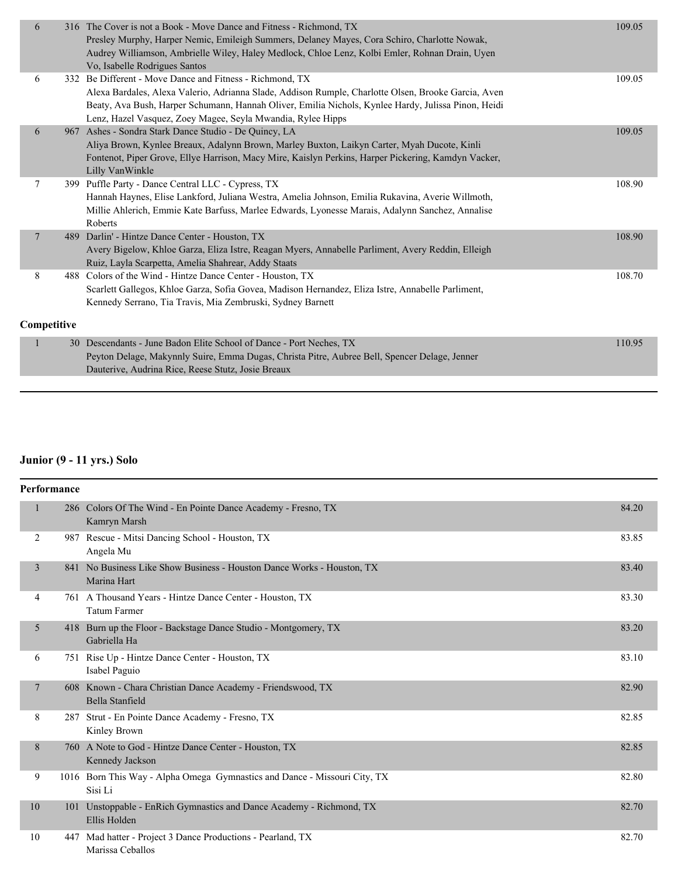| 6           |  | 316 The Cover is not a Book - Move Dance and Fitness - Richmond, TX<br>Presley Murphy, Harper Nemic, Emileigh Summers, Delaney Mayes, Cora Schiro, Charlotte Nowak,<br>Audrey Williamson, Ambrielle Wiley, Haley Medlock, Chloe Lenz, Kolbi Emler, Rohnan Drain, Uyen<br>Vo. Isabelle Rodrigues Santos                                | 109.05 |
|-------------|--|---------------------------------------------------------------------------------------------------------------------------------------------------------------------------------------------------------------------------------------------------------------------------------------------------------------------------------------|--------|
| 6           |  | 332 Be Different - Move Dance and Fitness - Richmond, TX<br>Alexa Bardales, Alexa Valerio, Adrianna Slade, Addison Rumple, Charlotte Olsen, Brooke Garcia, Aven<br>Beaty, Ava Bush, Harper Schumann, Hannah Oliver, Emilia Nichols, Kynlee Hardy, Julissa Pinon, Heidi<br>Lenz, Hazel Vasquez, Zoey Magee, Seyla Mwandia, Rylee Hipps | 109.05 |
| 6           |  | 967 Ashes - Sondra Stark Dance Studio - De Quincy, LA<br>Aliya Brown, Kynlee Breaux, Adalynn Brown, Marley Buxton, Laikyn Carter, Myah Ducote, Kinli<br>Fontenot, Piper Grove, Ellye Harrison, Macy Mire, Kaislyn Perkins, Harper Pickering, Kamdyn Vacker,<br>Lilly VanWinkle                                                        | 109.05 |
| 7           |  | 399 Puffle Party - Dance Central LLC - Cypress, TX<br>Hannah Haynes, Elise Lankford, Juliana Westra, Amelia Johnson, Emilia Rukavina, Averie Willmoth,<br>Millie Ahlerich, Emmie Kate Barfuss, Marlee Edwards, Lyonesse Marais, Adalynn Sanchez, Annalise<br>Roberts                                                                  | 108.90 |
| $\tau$      |  | 489 Darlin' - Hintze Dance Center - Houston, TX<br>Avery Bigelow, Khloe Garza, Eliza Istre, Reagan Myers, Annabelle Parliment, Avery Reddin, Elleigh<br>Ruiz, Layla Scarpetta, Amelia Shahrear, Addy Staats                                                                                                                           | 108.90 |
| 8           |  | 488 Colors of the Wind - Hintze Dance Center - Houston, TX<br>Scarlett Gallegos, Khloe Garza, Sofia Govea, Madison Hernandez, Eliza Istre, Annabelle Parliment,<br>Kennedy Serrano, Tia Travis, Mia Zembruski, Sydney Barnett                                                                                                         | 108.70 |
| Competitive |  |                                                                                                                                                                                                                                                                                                                                       |        |
|             |  | 30 Descendants - June Badon Elite School of Dance - Port Neches, TX<br>Peyton Delage, Makynnly Suire, Emma Dugas, Christa Pitre, Aubree Bell, Spencer Delage, Jenner<br>Dauterive, Audrina Rice, Reese Stutz, Josie Breaux                                                                                                            | 110.95 |

# **Junior (9 - 11 yrs.) Solo**

| <b>Performance</b> |     |                                                                                       |       |
|--------------------|-----|---------------------------------------------------------------------------------------|-------|
| 1                  |     | 286 Colors Of The Wind - En Pointe Dance Academy - Fresno, TX<br>Kamryn Marsh         | 84.20 |
| 2                  |     | 987 Rescue - Mitsi Dancing School - Houston, TX<br>Angela Mu                          | 83.85 |
| 3                  |     | 841 No Business Like Show Business - Houston Dance Works - Houston, TX<br>Marina Hart | 83.40 |
| 4                  |     | 761 A Thousand Years - Hintze Dance Center - Houston, TX<br><b>Tatum Farmer</b>       | 83.30 |
| 5                  |     | 418 Burn up the Floor - Backstage Dance Studio - Montgomery, TX<br>Gabriella Ha       | 83.20 |
| 6                  |     | 751 Rise Up - Hintze Dance Center - Houston, TX<br>Isabel Paguio                      | 83.10 |
| 7                  |     | 608 Known - Chara Christian Dance Academy - Friendswood, TX<br>Bella Stanfield        | 82.90 |
| 8                  |     | 287 Strut - En Pointe Dance Academy - Fresno, TX<br>Kinley Brown                      | 82.85 |
| 8                  |     | 760 A Note to God - Hintze Dance Center - Houston, TX<br>Kennedy Jackson              | 82.85 |
| 9                  |     | 1016 Born This Way - Alpha Omega Gymnastics and Dance - Missouri City, TX<br>Sisi Li  | 82.80 |
| 10                 | 101 | Unstoppable - EnRich Gymnastics and Dance Academy - Richmond, TX<br>Ellis Holden      | 82.70 |
| 10                 |     | 447 Mad hatter - Project 3 Dance Productions - Pearland, TX<br>Marissa Ceballos       | 82.70 |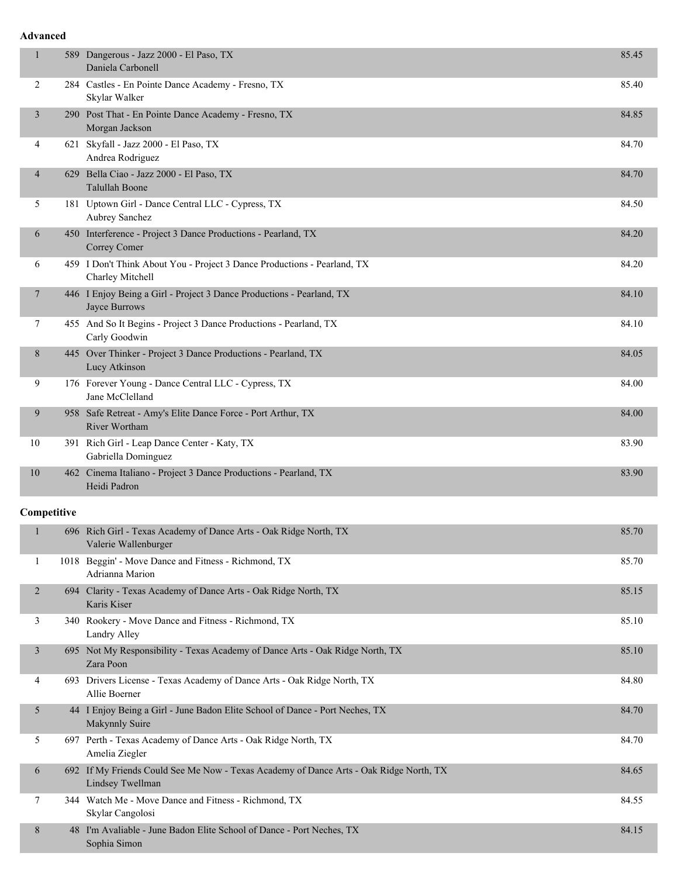#### **Advanced**

| 1              | 589 Dangerous - Jazz 2000 - El Paso, TX<br>Daniela Carbonell                                 | 85.45 |
|----------------|----------------------------------------------------------------------------------------------|-------|
| 2              | 284 Castles - En Pointe Dance Academy - Fresno, TX<br>Skylar Walker                          | 85.40 |
| 3              | 290 Post That - En Pointe Dance Academy - Fresno, TX<br>Morgan Jackson                       | 84.85 |
| 4              | 621 Skyfall - Jazz 2000 - El Paso, TX<br>Andrea Rodriguez                                    | 84.70 |
| $\overline{4}$ | 629 Bella Ciao - Jazz 2000 - El Paso, TX<br><b>Talullah Boone</b>                            | 84.70 |
| 5              | 181 Uptown Girl - Dance Central LLC - Cypress, TX<br>Aubrey Sanchez                          | 84.50 |
| 6              | 450 Interference - Project 3 Dance Productions - Pearland, TX<br>Correy Comer                | 84.20 |
| 6              | 459 I Don't Think About You - Project 3 Dance Productions - Pearland, TX<br>Charley Mitchell | 84.20 |
| $\tau$         | 446 I Enjoy Being a Girl - Project 3 Dance Productions - Pearland, TX<br>Jayce Burrows       | 84.10 |
| 7              | 455 And So It Begins - Project 3 Dance Productions - Pearland, TX<br>Carly Goodwin           | 84.10 |
| 8              | 445 Over Thinker - Project 3 Dance Productions - Pearland, TX<br>Lucy Atkinson               | 84.05 |
| 9              | 176 Forever Young - Dance Central LLC - Cypress, TX<br>Jane McClelland                       | 84.00 |
| 9              | 958 Safe Retreat - Amy's Elite Dance Force - Port Arthur, TX<br>River Wortham                | 84.00 |
| 10             | 391 Rich Girl - Leap Dance Center - Katy, TX<br>Gabriella Dominguez                          | 83.90 |
| 10             | 462 Cinema Italiano - Project 3 Dance Productions - Pearland, TX<br>Heidi Padron             | 83.90 |

## **Competitive**

|        |     | 696 Rich Girl - Texas Academy of Dance Arts - Oak Ridge North, TX<br>Valerie Wallenburger              | 85.70 |
|--------|-----|--------------------------------------------------------------------------------------------------------|-------|
|        |     | 1018 Beggin' - Move Dance and Fitness - Richmond, TX<br>Adrianna Marion                                | 85.70 |
| 2      |     | 694 Clarity - Texas Academy of Dance Arts - Oak Ridge North, TX<br>Karis Kiser                         | 85.15 |
| 3      |     | 340 Rookery - Move Dance and Fitness - Richmond, TX<br>Landry Alley                                    | 85.10 |
| 3      |     | 695 Not My Responsibility - Texas Academy of Dance Arts - Oak Ridge North, TX<br>Zara Poon             | 85.10 |
| 4      | 693 | Drivers License - Texas Academy of Dance Arts - Oak Ridge North, TX<br>Allie Boerner                   | 84.80 |
| 5      |     | 44 I Enjoy Being a Girl - June Badon Elite School of Dance - Port Neches, TX<br>Makynnly Suire         | 84.70 |
| 5      |     | 697 Perth - Texas Academy of Dance Arts - Oak Ridge North, TX<br>Amelia Ziegler                        | 84.70 |
| 6      | 692 | If My Friends Could See Me Now - Texas Academy of Dance Arts - Oak Ridge North, TX<br>Lindsey Twellman | 84.65 |
| $\tau$ |     | 344 Watch Me - Move Dance and Fitness - Richmond, TX<br>Skylar Cangolosi                               | 84.55 |
| 8      |     | 48 I'm Avaliable - June Badon Elite School of Dance - Port Neches, TX<br>Sophia Simon                  | 84.15 |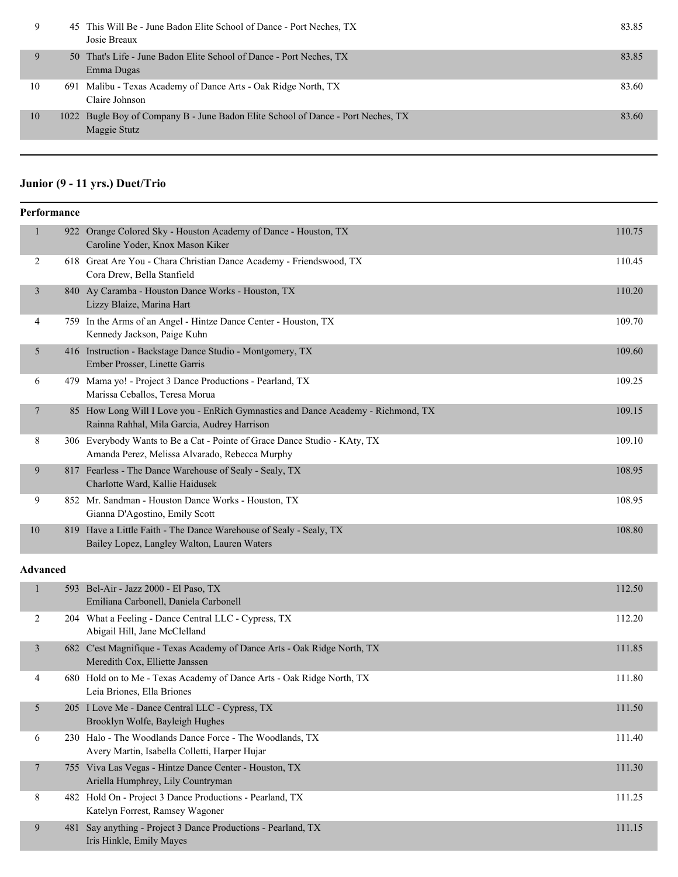| 9  | 45 This Will Be - June Badon Elite School of Dance - Port Neches, TX<br>Josie Breaux             | 83.85 |
|----|--------------------------------------------------------------------------------------------------|-------|
| 9  | 50 That's Life - June Badon Elite School of Dance - Port Neches, TX<br>Emma Dugas                | 83.85 |
| 10 | 691 Malibu - Texas Academy of Dance Arts - Oak Ridge North, TX<br>Claire Johnson                 | 83.60 |
| 10 | 1022 Bugle Boy of Company B - June Badon Elite School of Dance - Port Neches, TX<br>Maggie Stutz | 83.60 |
|    |                                                                                                  |       |

## **Junior (9 - 11 yrs.) Duet/Trio**

| <b>Performance</b> |     |                                                                                                                                 |        |
|--------------------|-----|---------------------------------------------------------------------------------------------------------------------------------|--------|
| 1                  | 922 | Orange Colored Sky - Houston Academy of Dance - Houston, TX<br>Caroline Yoder, Knox Mason Kiker                                 | 110.75 |
| 2                  |     | 618 Great Are You - Chara Christian Dance Academy - Friendswood, TX<br>Cora Drew, Bella Stanfield                               | 110.45 |
| 3                  |     | 840 Ay Caramba - Houston Dance Works - Houston, TX<br>Lizzy Blaize, Marina Hart                                                 | 110.20 |
| 4                  |     | 759 In the Arms of an Angel - Hintze Dance Center - Houston, TX<br>Kennedy Jackson, Paige Kuhn                                  | 109.70 |
| 5                  |     | 416 Instruction - Backstage Dance Studio - Montgomery, TX<br>Ember Prosser, Linette Garris                                      | 109.60 |
| 6                  |     | 479 Mama yo! - Project 3 Dance Productions - Pearland, TX<br>Marissa Ceballos, Teresa Morua                                     | 109.25 |
| 7                  |     | 85 How Long Will I Love you - EnRich Gymnastics and Dance Academy - Richmond, TX<br>Rainna Rahhal, Mila Garcia, Audrey Harrison | 109.15 |
| 8                  |     | 306 Everybody Wants to Be a Cat - Pointe of Grace Dance Studio - KAty, TX<br>Amanda Perez, Melissa Alvarado, Rebecca Murphy     | 109.10 |
| 9                  |     | 817 Fearless - The Dance Warehouse of Sealy - Sealy, TX<br>Charlotte Ward, Kallie Haidusek                                      | 108.95 |
| 9                  |     | 852 Mr. Sandman - Houston Dance Works - Houston, TX<br>Gianna D'Agostino, Emily Scott                                           | 108.95 |
| 10                 |     | 819 Have a Little Faith - The Dance Warehouse of Sealy - Sealy, TX<br>Bailey Lopez, Langley Walton, Lauren Waters               | 108.80 |
| <b>Advanced</b>    |     |                                                                                                                                 |        |
|                    |     | 593 Bel-Air - Jazz 2000 - El Paso, TX                                                                                           | 112.50 |

|        | 593  | Bel-Air - Jazz 2000 - El Paso, TX<br>Emiliana Carbonell, Daniela Carbonell                                 | 112.50 |
|--------|------|------------------------------------------------------------------------------------------------------------|--------|
| 2      |      | 204 What a Feeling - Dance Central LLC - Cypress, TX<br>Abigail Hill, Jane McClelland                      | 112.20 |
| 3      |      | 682 C'est Magnifique - Texas Academy of Dance Arts - Oak Ridge North, TX<br>Meredith Cox, Elliette Janssen | 111.85 |
| 4      |      | 680 Hold on to Me - Texas Academy of Dance Arts - Oak Ridge North, TX<br>Leia Briones, Ella Briones        | 111.80 |
| 5      |      | 205 I Love Me - Dance Central LLC - Cypress, TX<br>Brooklyn Wolfe, Bayleigh Hughes                         | 111.50 |
| 6      |      | 230 Halo - The Woodlands Dance Force - The Woodlands, TX<br>Avery Martin, Isabella Colletti, Harper Hujar  | 111.40 |
| $\tau$ |      | 755 Viva Las Vegas - Hintze Dance Center - Houston, TX<br>Ariella Humphrey, Lily Countryman                | 111.30 |
| 8      | 482. | Hold On - Project 3 Dance Productions - Pearland, TX<br>Katelyn Forrest, Ramsey Wagoner                    | 111.25 |
| 9      | 481  | Say anything - Project 3 Dance Productions - Pearland, TX<br>Iris Hinkle, Emily Mayes                      | 111.15 |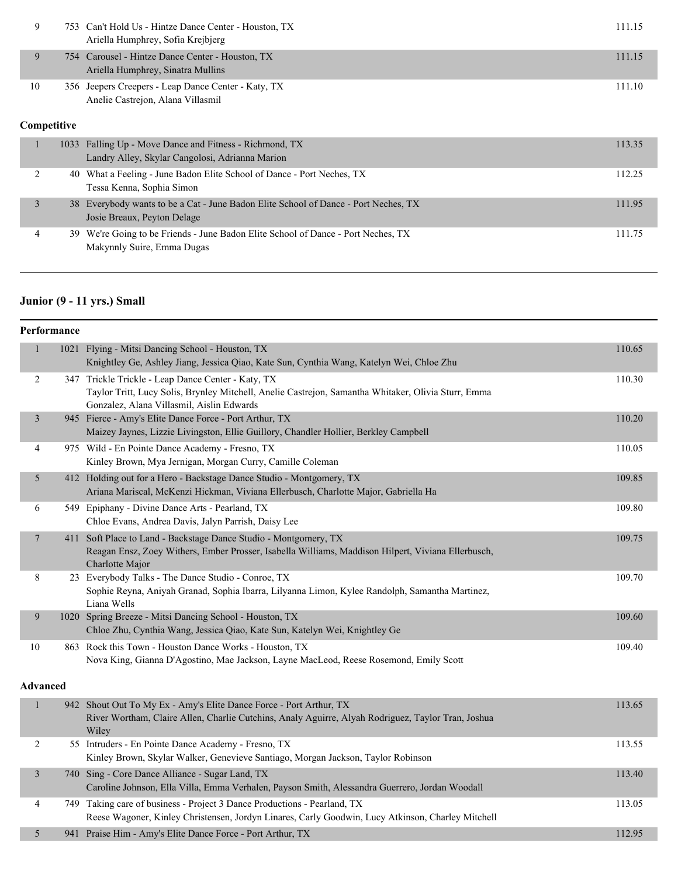|    | 753 Can't Hold Us - Hintze Dance Center - Houston, TX<br>Ariella Humphrey, Sofia Kreibjerg | 111.15 |
|----|--------------------------------------------------------------------------------------------|--------|
|    | 754 Carousel - Hintze Dance Center - Houston, TX<br>Ariella Humphrey, Sinatra Mullins      | 111.15 |
| 10 | 356 Jeepers Creepers - Leap Dance Center - Katy, TX<br>Anelie Castrejon, Alana Villasmil   | 111.10 |

## **Competitive**

| 1033 Falling Up - Move Dance and Fitness - Richmond, TX<br>Landry Alley, Skylar Cangolosi, Adrianna Marion         | 113.35 |
|--------------------------------------------------------------------------------------------------------------------|--------|
| 40 What a Feeling - June Badon Elite School of Dance - Port Neches, TX<br>Tessa Kenna, Sophia Simon                | 112.25 |
| 38 Everybody wants to be a Cat - June Badon Elite School of Dance - Port Neches, TX<br>Josie Breaux, Peyton Delage | 111.95 |
| 39 We're Going to be Friends - June Badon Elite School of Dance - Port Neches, TX<br>Makynnly Suire, Emma Dugas    | 111.75 |

# **Junior (9 - 11 yrs.) Small**

| Performance             |  |                                                                                                                                                                                                        |        |
|-------------------------|--|--------------------------------------------------------------------------------------------------------------------------------------------------------------------------------------------------------|--------|
| $\mathbf{1}$            |  | 1021 Flying - Mitsi Dancing School - Houston, TX<br>Knightley Ge, Ashley Jiang, Jessica Qiao, Kate Sun, Cynthia Wang, Katelyn Wei, Chloe Zhu                                                           | 110.65 |
| $\overline{c}$          |  | 347 Trickle Trickle - Leap Dance Center - Katy, TX<br>Taylor Tritt, Lucy Solis, Brynley Mitchell, Anelie Castrejon, Samantha Whitaker, Olivia Sturr, Emma<br>Gonzalez, Alana Villasmil, Aislin Edwards | 110.30 |
| $\overline{\mathbf{3}}$ |  | 945 Fierce - Amy's Elite Dance Force - Port Arthur, TX<br>Maizey Jaynes, Lizzie Livingston, Ellie Guillory, Chandler Hollier, Berkley Campbell                                                         | 110.20 |
| 4                       |  | 975 Wild - En Pointe Dance Academy - Fresno, TX<br>Kinley Brown, Mya Jernigan, Morgan Curry, Camille Coleman                                                                                           | 110.05 |
| 5                       |  | 412 Holding out for a Hero - Backstage Dance Studio - Montgomery, TX<br>Ariana Mariscal, McKenzi Hickman, Viviana Ellerbusch, Charlotte Major, Gabriella Ha                                            | 109.85 |
| 6                       |  | 549 Epiphany - Divine Dance Arts - Pearland, TX<br>Chloe Evans, Andrea Davis, Jalyn Parrish, Daisy Lee                                                                                                 | 109.80 |
| 7                       |  | 411 Soft Place to Land - Backstage Dance Studio - Montgomery, TX<br>Reagan Ensz, Zoey Withers, Ember Prosser, Isabella Williams, Maddison Hilpert, Viviana Ellerbusch,<br>Charlotte Major              | 109.75 |
| 8                       |  | 23 Everybody Talks - The Dance Studio - Conroe, TX<br>Sophie Reyna, Aniyah Granad, Sophia Ibarra, Lilyanna Limon, Kylee Randolph, Samantha Martinez,<br>Liana Wells                                    | 109.70 |
| 9                       |  | 1020 Spring Breeze - Mitsi Dancing School - Houston, TX<br>Chloe Zhu, Cynthia Wang, Jessica Qiao, Kate Sun, Katelyn Wei, Knightley Ge                                                                  | 109.60 |
| $10\,$                  |  | 863 Rock this Town - Houston Dance Works - Houston, TX<br>Nova King, Gianna D'Agostino, Mae Jackson, Layne MacLeod, Reese Rosemond, Emily Scott                                                        | 109.40 |
| <b>Advanced</b>         |  |                                                                                                                                                                                                        |        |
| $\mathbf{1}$            |  | 942 Shout Out To My Ex - Amy's Elite Dance Force - Port Arthur, TX<br>River Wortham, Claire Allen, Charlie Cutchins, Analy Aguirre, Alyah Rodriguez, Taylor Tran, Joshua<br>Wiley                      | 113.65 |
| $\overline{c}$          |  | 55 Intruders - En Pointe Dance Academy - Fresno, TX<br>Kinley Brown, Skylar Walker, Genevieve Santiago, Morgan Jackson, Taylor Robinson                                                                | 113.55 |
| $\mathfrak{Z}$          |  | 740 Sing - Core Dance Alliance - Sugar Land, TX<br>Caroline Johnson, Ella Villa, Emma Verhalen, Payson Smith, Alessandra Guerrero, Jordan Woodall                                                      | 113.40 |
| 4                       |  | 749 Taking care of business - Project 3 Dance Productions - Pearland, TX<br>Reese Wagoner, Kinley Christensen, Jordyn Linares, Carly Goodwin, Lucy Atkinson, Charley Mitchell                          | 113.05 |
| 5                       |  | 941 Praise Him - Amy's Elite Dance Force - Port Arthur, TX                                                                                                                                             | 112.95 |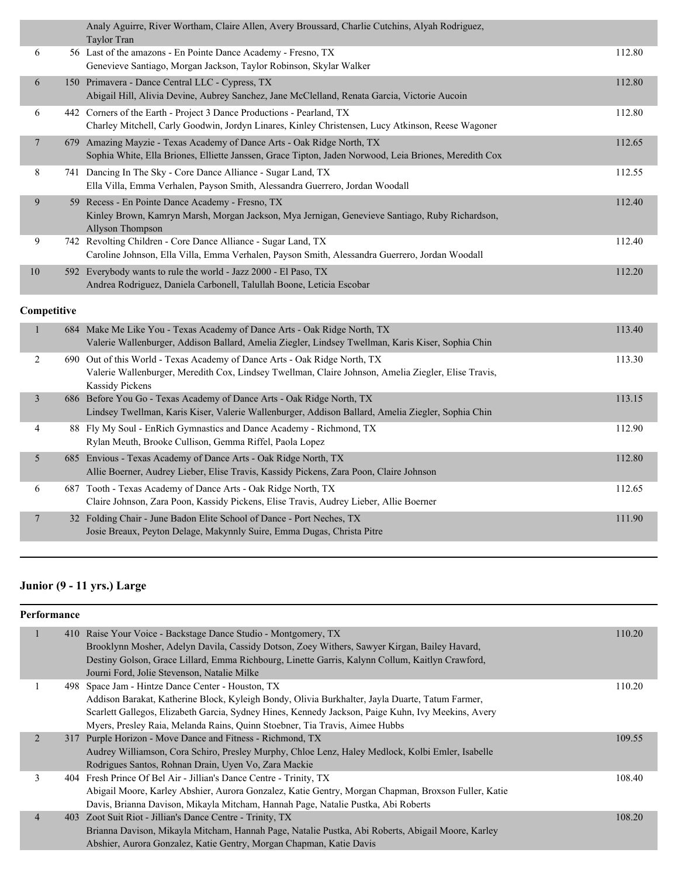|                | Analy Aguirre, River Wortham, Claire Allen, Avery Broussard, Charlie Cutchins, Alyah Rodriguez,<br>Taylor Tran                                                                                             |        |
|----------------|------------------------------------------------------------------------------------------------------------------------------------------------------------------------------------------------------------|--------|
| 6              | 56 Last of the amazons - En Pointe Dance Academy - Fresno, TX<br>Genevieve Santiago, Morgan Jackson, Taylor Robinson, Skylar Walker                                                                        | 112.80 |
| 6              | 150 Primavera - Dance Central LLC - Cypress, TX<br>Abigail Hill, Alivia Devine, Aubrey Sanchez, Jane McClelland, Renata Garcia, Victorie Aucoin                                                            | 112.80 |
| 6              | 442 Corners of the Earth - Project 3 Dance Productions - Pearland, TX<br>Charley Mitchell, Carly Goodwin, Jordyn Linares, Kinley Christensen, Lucy Atkinson, Reese Wagoner                                 | 112.80 |
| $\overline{7}$ | 679 Amazing Mayzie - Texas Academy of Dance Arts - Oak Ridge North, TX<br>Sophia White, Ella Briones, Elliette Janssen, Grace Tipton, Jaden Norwood, Leia Briones, Meredith Cox                            | 112.65 |
| 8              | 741 Dancing In The Sky - Core Dance Alliance - Sugar Land, TX<br>Ella Villa, Emma Verhalen, Payson Smith, Alessandra Guerrero, Jordan Woodall                                                              | 112.55 |
| 9              | 59 Recess - En Pointe Dance Academy - Fresno, TX<br>Kinley Brown, Kamryn Marsh, Morgan Jackson, Mya Jernigan, Genevieve Santiago, Ruby Richardson,<br>Allyson Thompson                                     | 112.40 |
| 9              | 742 Revolting Children - Core Dance Alliance - Sugar Land, TX<br>Caroline Johnson, Ella Villa, Emma Verhalen, Payson Smith, Alessandra Guerrero, Jordan Woodall                                            | 112.40 |
| $10\,$         | 592 Everybody wants to rule the world - Jazz 2000 - El Paso, TX<br>Andrea Rodriguez, Daniela Carbonell, Talullah Boone, Leticia Escobar                                                                    | 112.20 |
| Competitive    |                                                                                                                                                                                                            |        |
| $\mathbf{1}$   | 684 Make Me Like You - Texas Academy of Dance Arts - Oak Ridge North, TX<br>Valerie Wallenburger, Addison Ballard, Amelia Ziegler, Lindsey Twellman, Karis Kiser, Sophia Chin                              | 113.40 |
| $\overline{c}$ | 690 Out of this World - Texas Academy of Dance Arts - Oak Ridge North, TX<br>Valerie Wallenburger, Meredith Cox, Lindsey Twellman, Claire Johnson, Amelia Ziegler, Elise Travis,<br><b>Kassidy Pickens</b> | 113.30 |
| $\mathfrak{Z}$ | 686 Before You Go - Texas Academy of Dance Arts - Oak Ridge North, TX<br>Lindsey Twellman, Karis Kiser, Valerie Wallenburger, Addison Ballard, Amelia Ziegler, Sophia Chin                                 | 113.15 |
| 4              | 88 Fly My Soul - EnRich Gymnastics and Dance Academy - Richmond, TX<br>Rylan Meuth, Brooke Cullison, Gemma Riffel, Paola Lopez                                                                             | 112.90 |
| 5              | 685 Envious - Texas Academy of Dance Arts - Oak Ridge North, TX<br>Allie Boerner, Audrey Lieber, Elise Travis, Kassidy Pickens, Zara Poon, Claire Johnson                                                  | 112.80 |
| 6              | 687 Tooth - Texas Academy of Dance Arts - Oak Ridge North, TX<br>Claire Johnson, Zara Poon, Kassidy Pickens, Elise Travis, Audrey Lieber, Allie Boerner                                                    | 112.65 |
| 7              | 32 Folding Chair - June Badon Elite School of Dance - Port Neches, TX<br>Josie Breaux, Peyton Delage, Makynnly Suire, Emma Dugas, Christa Pitre                                                            | 111.90 |

# **Junior (9 - 11 yrs.) Large**

|                | 410 Raise Your Voice - Backstage Dance Studio - Montgomery, TX                                      | 110.20 |
|----------------|-----------------------------------------------------------------------------------------------------|--------|
|                | Brooklynn Mosher, Adelyn Davila, Cassidy Dotson, Zoey Withers, Sawyer Kirgan, Bailey Havard,        |        |
|                | Destiny Golson, Grace Lillard, Emma Richbourg, Linette Garris, Kalynn Collum, Kaitlyn Crawford,     |        |
|                | Journi Ford, Jolie Stevenson, Natalie Milke                                                         |        |
|                | 498 Space Jam - Hintze Dance Center - Houston, TX                                                   | 110.20 |
|                | Addison Barakat, Katherine Block, Kyleigh Bondy, Olivia Burkhalter, Jayla Duarte, Tatum Farmer,     |        |
|                | Scarlett Gallegos, Elizabeth Garcia, Sydney Hines, Kennedy Jackson, Paige Kuhn, Ivy Meekins, Avery  |        |
|                | Myers, Presley Raia, Melanda Rains, Quinn Stoebner, Tia Travis, Aimee Hubbs                         |        |
| 2              | 317 Purple Horizon - Move Dance and Fitness - Richmond, TX                                          | 109.55 |
|                | Audrey Williamson, Cora Schiro, Presley Murphy, Chloe Lenz, Haley Medlock, Kolbi Emler, Isabelle    |        |
|                | Rodrigues Santos, Rohnan Drain, Uyen Vo, Zara Mackie                                                |        |
| 3              | 404 Fresh Prince Of Bel Air - Jillian's Dance Centre - Trinity, TX                                  | 108.40 |
|                | Abigail Moore, Karley Abshier, Aurora Gonzalez, Katie Gentry, Morgan Chapman, Broxson Fuller, Katie |        |
|                | Davis, Brianna Davison, Mikayla Mitcham, Hannah Page, Natalie Pustka, Abi Roberts                   |        |
| $\overline{4}$ | 403 Zoot Suit Riot - Jillian's Dance Centre - Trinity, TX                                           | 108.20 |
|                | Brianna Davison, Mikayla Mitcham, Hannah Page, Natalie Pustka, Abi Roberts, Abigail Moore, Karley   |        |
|                | Abshier, Aurora Gonzalez, Katie Gentry, Morgan Chapman, Katie Davis                                 |        |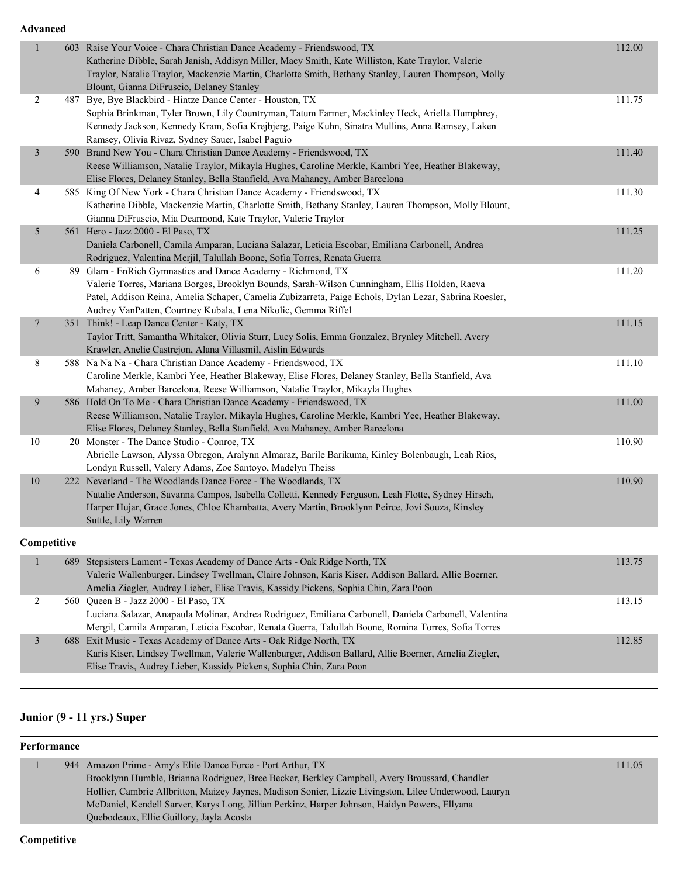**Advanced**

| $\mathbf{1}$    | 603 Raise Your Voice - Chara Christian Dance Academy - Friendswood, TX<br>Katherine Dibble, Sarah Janish, Addisyn Miller, Macy Smith, Kate Williston, Kate Traylor, Valerie<br>Traylor, Natalie Traylor, Mackenzie Martin, Charlotte Smith, Bethany Stanley, Lauren Thompson, Molly<br>Blount, Gianna DiFruscio, Delaney Stanley         | 112.00 |
|-----------------|------------------------------------------------------------------------------------------------------------------------------------------------------------------------------------------------------------------------------------------------------------------------------------------------------------------------------------------|--------|
| $\overline{2}$  | 487 Bye, Bye Blackbird - Hintze Dance Center - Houston, TX<br>Sophia Brinkman, Tyler Brown, Lily Countryman, Tatum Farmer, Mackinley Heck, Ariella Humphrey,<br>Kennedy Jackson, Kennedy Kram, Sofia Krejbjerg, Paige Kuhn, Sinatra Mullins, Anna Ramsey, Laken<br>Ramsey, Olivia Rivaz, Sydney Sauer, Isabel Paguio                     | 111.75 |
| 3               | 590 Brand New You - Chara Christian Dance Academy - Friendswood, TX<br>Reese Williamson, Natalie Traylor, Mikayla Hughes, Caroline Merkle, Kambri Yee, Heather Blakeway,<br>Elise Flores, Delaney Stanley, Bella Stanfield, Ava Mahaney, Amber Barcelona                                                                                 | 111.40 |
| 4               | 585 King Of New York - Chara Christian Dance Academy - Friendswood, TX<br>Katherine Dibble, Mackenzie Martin, Charlotte Smith, Bethany Stanley, Lauren Thompson, Molly Blount,<br>Gianna DiFruscio, Mia Dearmond, Kate Traylor, Valerie Traylor                                                                                          | 111.30 |
| 5               | 561 Hero - Jazz 2000 - El Paso, TX<br>Daniela Carbonell, Camila Amparan, Luciana Salazar, Leticia Escobar, Emiliana Carbonell, Andrea<br>Rodriguez, Valentina Merjil, Talullah Boone, Sofia Torres, Renata Guerra                                                                                                                        | 111.25 |
| 6               | 89 Glam - EnRich Gymnastics and Dance Academy - Richmond, TX<br>Valerie Torres, Mariana Borges, Brooklyn Bounds, Sarah-Wilson Cunningham, Ellis Holden, Raeva<br>Patel, Addison Reina, Amelia Schaper, Camelia Zubizarreta, Paige Echols, Dylan Lezar, Sabrina Roesler,<br>Audrey VanPatten, Courtney Kubala, Lena Nikolic, Gemma Riffel | 111.20 |
| $7\phantom{.0}$ | 351 Think! - Leap Dance Center - Katy, TX<br>Taylor Tritt, Samantha Whitaker, Olivia Sturr, Lucy Solis, Emma Gonzalez, Brynley Mitchell, Avery<br>Krawler, Anelie Castrejon, Alana Villasmil, Aislin Edwards                                                                                                                             | 111.15 |
| 8               | 588 Na Na Na - Chara Christian Dance Academy - Friendswood, TX<br>Caroline Merkle, Kambri Yee, Heather Blakeway, Elise Flores, Delaney Stanley, Bella Stanfield, Ava<br>Mahaney, Amber Barcelona, Reese Williamson, Natalie Traylor, Mikayla Hughes                                                                                      | 111.10 |
| 9               | 586 Hold On To Me - Chara Christian Dance Academy - Friendswood, TX<br>Reese Williamson, Natalie Traylor, Mikayla Hughes, Caroline Merkle, Kambri Yee, Heather Blakeway,<br>Elise Flores, Delaney Stanley, Bella Stanfield, Ava Mahaney, Amber Barcelona                                                                                 | 111.00 |
| 10              | 20 Monster - The Dance Studio - Conroe, TX<br>Abrielle Lawson, Alyssa Obregon, Aralynn Almaraz, Barile Barikuma, Kinley Bolenbaugh, Leah Rios,<br>Londyn Russell, Valery Adams, Zoe Santoyo, Madelyn Theiss                                                                                                                              | 110.90 |
| $10\,$          | 222 Neverland - The Woodlands Dance Force - The Woodlands, TX<br>Natalie Anderson, Savanna Campos, Isabella Colletti, Kennedy Ferguson, Leah Flotte, Sydney Hirsch,<br>Harper Hujar, Grace Jones, Chloe Khambatta, Avery Martin, Brooklynn Peirce, Jovi Souza, Kinsley<br>Suttle, Lily Warren                                            | 110.90 |
| Competitive     |                                                                                                                                                                                                                                                                                                                                          |        |
|                 | 689 Stepsisters Lament - Texas Academy of Dance Arts - Oak Ridge North, TX<br>Veloria Wellenburger, Lindsoy Twellman, Claire Johnson, Keris Kiser, Addison Pollard, Allie Poemer                                                                                                                                                         | 113.75 |

|  | 002 Diepsisiers Edment Texas Academy of Dance Arts Oak Knige Hofti, 171                               | 11.7.17 |
|--|-------------------------------------------------------------------------------------------------------|---------|
|  | Valerie Wallenburger, Lindsey Twellman, Claire Johnson, Karis Kiser, Addison Ballard, Allie Boerner,  |         |
|  | Amelia Ziegler, Audrey Lieber, Elise Travis, Kassidy Pickens, Sophia Chin, Zara Poon                  |         |
|  | 560 Oueen B - Jazz 2000 - El Paso, TX                                                                 | 113.15  |
|  | Luciana Salazar, Anapaula Molinar, Andrea Rodriguez, Emiliana Carbonell, Daniela Carbonell, Valentina |         |
|  | Mergil, Camila Amparan, Leticia Escobar, Renata Guerra, Talullah Boone, Romina Torres, Sofia Torres   |         |
|  | 688 Exit Music - Texas Academy of Dance Arts - Oak Ridge North, TX                                    | 112.85  |
|  | Karis Kiser, Lindsey Twellman, Valerie Wallenburger, Addison Ballard, Allie Boerner, Amelia Ziegler,  |         |
|  | Elise Travis, Audrey Lieber, Kassidy Pickens, Sophia Chin, Zara Poon                                  |         |
|  |                                                                                                       |         |

# **Junior (9 - 11 yrs.) Super**

|  | 944 Amazon Prime - Amy's Elite Dance Force - Port Arthur, TX                                           | 111.05 |
|--|--------------------------------------------------------------------------------------------------------|--------|
|  | Brooklynn Humble, Brianna Rodriguez, Bree Becker, Berkley Campbell, Avery Broussard, Chandler          |        |
|  | Hollier, Cambrie Allbritton, Maizey Jaynes, Madison Sonier, Lizzie Livingston, Lilee Underwood, Lauryn |        |
|  | McDaniel, Kendell Sarver, Karys Long, Jillian Perkinz, Harper Johnson, Haidyn Powers, Ellyana          |        |
|  | Quebodeaux, Ellie Guillory, Jayla Acosta                                                               |        |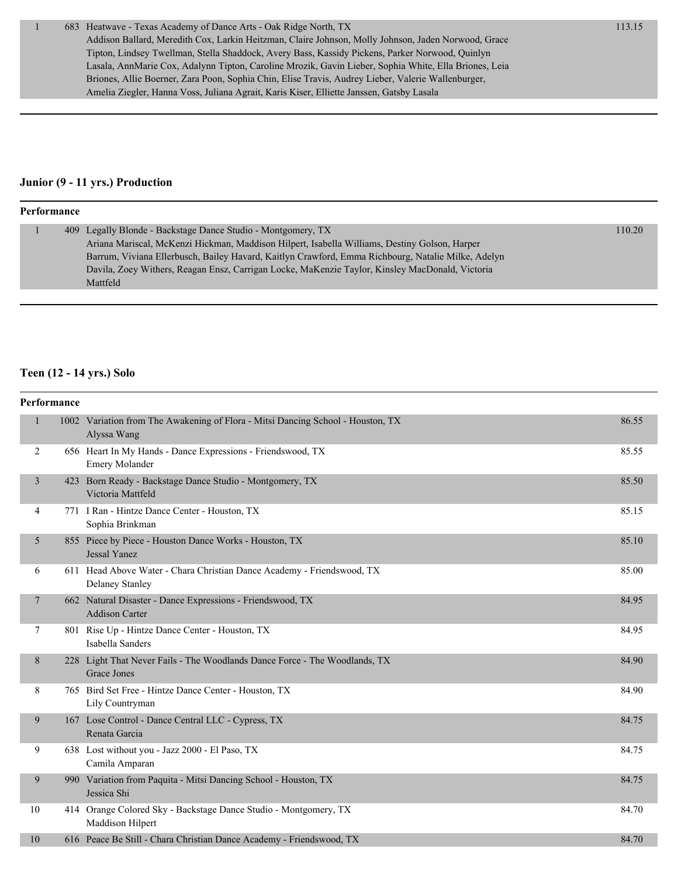#### **Junior (9 - 11 yrs.) Production**

| Performance |  |  |                                                                                                    |        |  |
|-------------|--|--|----------------------------------------------------------------------------------------------------|--------|--|
|             |  |  | 409 Legally Blonde - Backstage Dance Studio - Montgomery, TX                                       | 110.20 |  |
|             |  |  | Ariana Mariscal, McKenzi Hickman, Maddison Hilpert, Isabella Williams, Destiny Golson, Harper      |        |  |
|             |  |  | Barrum, Viviana Ellerbusch, Bailey Havard, Kaitlyn Crawford, Emma Richbourg, Natalie Milke, Adelyn |        |  |
|             |  |  | Davila, Zoey Withers, Reagan Ensz, Carrigan Locke, MaKenzie Taylor, Kinsley MacDonald, Victoria    |        |  |
|             |  |  | Mattfeld                                                                                           |        |  |

#### **Teen (12 - 14 yrs.) Solo**

| Performance |   |                                                                                                  |       |
|-------------|---|--------------------------------------------------------------------------------------------------|-------|
|             | 1 | 1002 Variation from The Awakening of Flora - Mitsi Dancing School - Houston, TX<br>Alyssa Wang   | 86.55 |
|             | 2 | 656 Heart In My Hands - Dance Expressions - Friendswood, TX<br>Emery Molander                    | 85.55 |
|             | 3 | 423 Born Ready - Backstage Dance Studio - Montgomery, TX<br>Victoria Mattfeld                    | 85.50 |
|             | 4 | 771 I Ran - Hintze Dance Center - Houston, TX<br>Sophia Brinkman                                 | 85.15 |
|             | 5 | 855 Piece by Piece - Houston Dance Works - Houston, TX<br><b>Jessal Yanez</b>                    | 85.10 |
|             | 6 | 611 Head Above Water - Chara Christian Dance Academy - Friendswood, TX<br><b>Delaney Stanley</b> | 85.00 |
|             | 7 | 662 Natural Disaster - Dance Expressions - Friendswood, TX<br><b>Addison Carter</b>              | 84.95 |
|             | 7 | 801 Rise Up - Hintze Dance Center - Houston, TX<br>Isabella Sanders                              | 84.95 |
|             | 8 | 228 Light That Never Fails - The Woodlands Dance Force - The Woodlands, TX<br>Grace Jones        | 84.90 |
|             | 8 | 765 Bird Set Free - Hintze Dance Center - Houston, TX<br>Lily Countryman                         | 84.90 |
|             | 9 | 167 Lose Control - Dance Central LLC - Cypress, TX<br>Renata Garcia                              | 84.75 |
|             | 9 | 638 Lost without you - Jazz 2000 - El Paso, TX<br>Camila Amparan                                 | 84.75 |
|             | 9 | 990 Variation from Paquita - Mitsi Dancing School - Houston, TX<br>Jessica Shi                   | 84.75 |
| 10          |   | 414 Orange Colored Sky - Backstage Dance Studio - Montgomery, TX<br>Maddison Hilpert             | 84.70 |
| 10          |   | 616 Peace Be Still - Chara Christian Dance Academy - Friendswood, TX                             | 84.70 |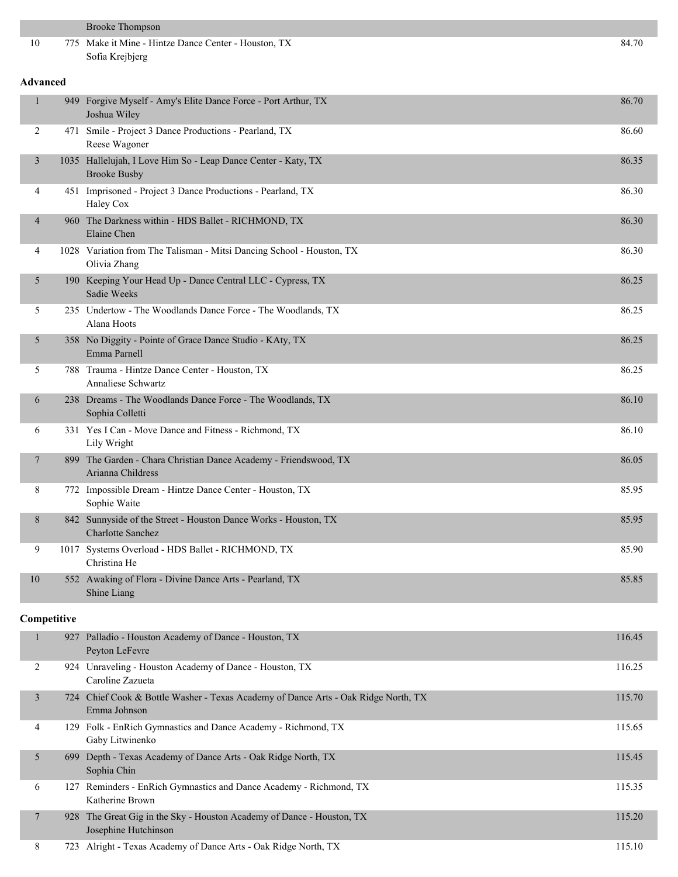|             |                 | <b>Brooke Thompson</b>                                                                             |        |  |  |  |  |
|-------------|-----------------|----------------------------------------------------------------------------------------------------|--------|--|--|--|--|
| 10          |                 | 775 Make it Mine - Hintze Dance Center - Houston, TX<br>Sofia Krejbjerg                            | 84.70  |  |  |  |  |
|             | <b>Advanced</b> |                                                                                                    |        |  |  |  |  |
| 1           |                 | 949 Forgive Myself - Amy's Elite Dance Force - Port Arthur, TX<br>Joshua Wiley                     | 86.70  |  |  |  |  |
| 2           |                 | 471 Smile - Project 3 Dance Productions - Pearland, TX<br>Reese Wagoner                            | 86.60  |  |  |  |  |
| 3           |                 | 1035 Hallelujah, I Love Him So - Leap Dance Center - Katy, TX<br><b>Brooke Busby</b>               | 86.35  |  |  |  |  |
| 4           |                 | 451 Imprisoned - Project 3 Dance Productions - Pearland, TX<br>Haley Cox                           | 86.30  |  |  |  |  |
| 4           |                 | 960 The Darkness within - HDS Ballet - RICHMOND, TX<br>Elaine Chen                                 | 86.30  |  |  |  |  |
| 4           |                 | 1028 Variation from The Talisman - Mitsi Dancing School - Houston, TX<br>Olivia Zhang              | 86.30  |  |  |  |  |
| 5           |                 | 190 Keeping Your Head Up - Dance Central LLC - Cypress, TX<br>Sadie Weeks                          | 86.25  |  |  |  |  |
| 5           |                 | 235 Undertow - The Woodlands Dance Force - The Woodlands, TX<br>Alana Hoots                        | 86.25  |  |  |  |  |
| 5           |                 | 358 No Diggity - Pointe of Grace Dance Studio - KAty, TX<br>Emma Parnell                           | 86.25  |  |  |  |  |
| 5           |                 | 788 Trauma - Hintze Dance Center - Houston, TX<br><b>Annaliese Schwartz</b>                        | 86.25  |  |  |  |  |
| 6           |                 | 238 Dreams - The Woodlands Dance Force - The Woodlands, TX<br>Sophia Colletti                      | 86.10  |  |  |  |  |
| 6           |                 | 331 Yes I Can - Move Dance and Fitness - Richmond, TX<br>Lily Wright                               | 86.10  |  |  |  |  |
| 7           |                 | 899 The Garden - Chara Christian Dance Academy - Friendswood, TX<br>Arianna Childress              | 86.05  |  |  |  |  |
| 8           |                 | 772 Impossible Dream - Hintze Dance Center - Houston, TX<br>Sophie Waite                           | 85.95  |  |  |  |  |
| 8           |                 | 842 Sunnyside of the Street - Houston Dance Works - Houston, TX<br><b>Charlotte Sanchez</b>        | 85.95  |  |  |  |  |
| 9           |                 | 1017 Systems Overload - HDS Ballet - RICHMOND, TX<br>Christina He                                  | 85.90  |  |  |  |  |
| 10          |                 | 552 Awaking of Flora - Divine Dance Arts - Pearland, TX<br>Shine Liang                             | 85.85  |  |  |  |  |
| Competitive |                 |                                                                                                    |        |  |  |  |  |
| 1           |                 | 927 Palladio - Houston Academy of Dance - Houston, TX<br>Peyton LeFevre                            | 116.45 |  |  |  |  |
| 2           |                 | 924 Unraveling - Houston Academy of Dance - Houston, TX<br>Caroline Zazueta                        | 116.25 |  |  |  |  |
| 3           |                 | 724 Chief Cook & Bottle Washer - Texas Academy of Dance Arts - Oak Ridge North, TX<br>Emma Johnson | 115.70 |  |  |  |  |
| 4           |                 | 129 Folk - EnRich Gymnastics and Dance Academy - Richmond, TX<br>Gaby Litwinenko                   | 115.65 |  |  |  |  |
| 5           |                 | 699 Depth - Texas Academy of Dance Arts - Oak Ridge North, TX<br>Sophia Chin                       | 115.45 |  |  |  |  |
| 6           |                 | 127 Reminders - EnRich Gymnastics and Dance Academy - Richmond, TX<br>Katherine Brown              | 115.35 |  |  |  |  |
| 7           |                 | 928 The Great Gig in the Sky - Houston Academy of Dance - Houston, TX<br>Josephine Hutchinson      | 115.20 |  |  |  |  |
| 8           |                 | 723 Alright - Texas Academy of Dance Arts - Oak Ridge North, TX                                    | 115.10 |  |  |  |  |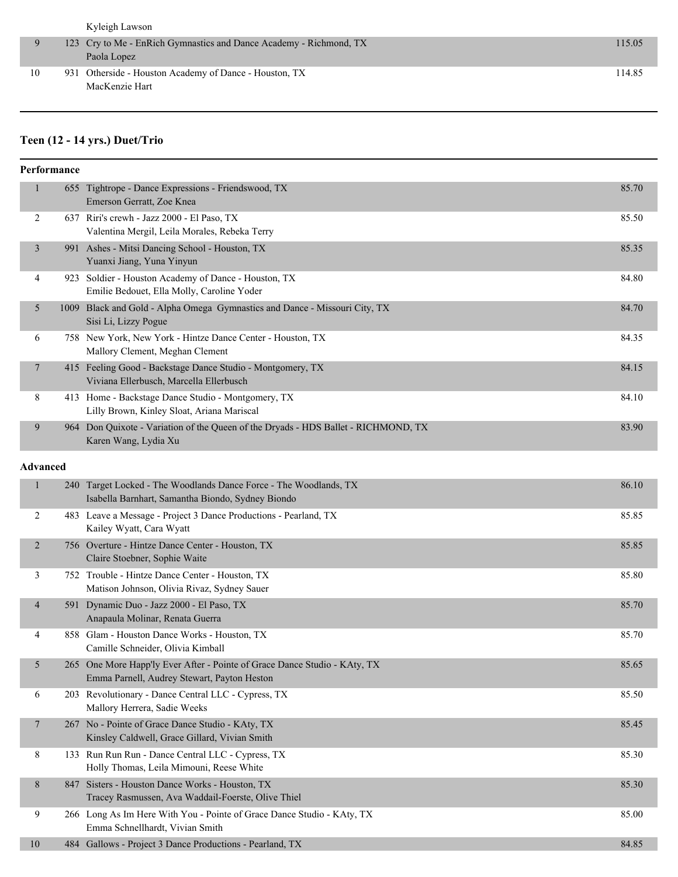|    | Kyleigh Lawson                                                     |        |
|----|--------------------------------------------------------------------|--------|
|    | 123 Cry to Me - EnRich Gymnastics and Dance Academy - Richmond, TX | 115.05 |
|    | Paola Lopez                                                        |        |
| 10 | 931 Otherside - Houston Academy of Dance - Houston, TX             | 114.85 |
|    | MacKenzie Hart                                                     |        |
|    |                                                                    |        |

# **Teen (12 - 14 yrs.) Duet/Trio**

|                 | Performance |                                                                                                                          |       |
|-----------------|-------------|--------------------------------------------------------------------------------------------------------------------------|-------|
| $\mathbf{1}$    |             | 655 Tightrope - Dance Expressions - Friendswood, TX<br>Emerson Gerratt, Zoe Knea                                         | 85.70 |
| 2               |             | 637 Riri's crewh - Jazz 2000 - El Paso, TX<br>Valentina Mergil, Leila Morales, Rebeka Terry                              | 85.50 |
| $\mathfrak{Z}$  |             | 991 Ashes - Mitsi Dancing School - Houston, TX<br>Yuanxi Jiang, Yuna Yinyun                                              | 85.35 |
| 4               |             | 923 Soldier - Houston Academy of Dance - Houston, TX<br>Emilie Bedouet, Ella Molly, Caroline Yoder                       | 84.80 |
| 5               |             | 1009 Black and Gold - Alpha Omega Gymnastics and Dance - Missouri City, TX<br>Sisi Li, Lizzy Pogue                       | 84.70 |
| 6               |             | 758 New York, New York - Hintze Dance Center - Houston, TX<br>Mallory Clement, Meghan Clement                            | 84.35 |
| 7               |             | 415 Feeling Good - Backstage Dance Studio - Montgomery, TX<br>Viviana Ellerbusch, Marcella Ellerbusch                    | 84.15 |
| 8               |             | 413 Home - Backstage Dance Studio - Montgomery, TX<br>Lilly Brown, Kinley Sloat, Ariana Mariscal                         | 84.10 |
| 9               |             | 964 Don Quixote - Variation of the Queen of the Dryads - HDS Ballet - RICHMOND, TX<br>Karen Wang, Lydia Xu               | 83.90 |
| <b>Advanced</b> |             |                                                                                                                          |       |
| $\mathbf{1}$    |             | 240 Target Locked - The Woodlands Dance Force - The Woodlands, TX<br>Isabella Barnhart, Samantha Biondo, Sydney Biondo   | 86.10 |
| 2               |             | 483 Leave a Message - Project 3 Dance Productions - Pearland, TX<br>Kailey Wyatt, Cara Wyatt                             | 85.85 |
| $\overline{2}$  |             | 756 Overture - Hintze Dance Center - Houston, TX<br>Claire Stoebner, Sophie Waite                                        | 85.85 |
| 3               |             | 752 Trouble - Hintze Dance Center - Houston, TX<br>Matison Johnson, Olivia Rivaz, Sydney Sauer                           | 85.80 |
| $\overline{4}$  |             | 591 Dynamic Duo - Jazz 2000 - El Paso, TX<br>Anapaula Molinar, Renata Guerra                                             | 85.70 |
| 4               |             | 858 Glam - Houston Dance Works - Houston, TX<br>Camille Schneider, Olivia Kimball                                        | 85.70 |
| 5               |             | 265 One More Happ'ly Ever After - Pointe of Grace Dance Studio - KAty, TX<br>Emma Parnell, Audrey Stewart, Payton Heston | 85.65 |
| 6               |             | 203 Revolutionary - Dance Central LLC - Cypress, TX<br>Mallory Herrera, Sadie Weeks                                      | 85.50 |
| 7               |             | 267 No - Pointe of Grace Dance Studio - KAty, TX<br>Kinsley Caldwell, Grace Gillard, Vivian Smith                        | 85.45 |
| 8               |             | 133 Run Run Run - Dance Central LLC - Cypress, TX<br>Holly Thomas, Leila Mimouni, Reese White                            | 85.30 |
| 8               |             | 847 Sisters - Houston Dance Works - Houston, TX<br>Tracey Rasmussen, Ava Waddail-Foerste, Olive Thiel                    | 85.30 |
| 9               |             | 266 Long As Im Here With You - Pointe of Grace Dance Studio - KAty, TX<br>Emma Schnellhardt, Vivian Smith                | 85.00 |
| 10              |             | 484 Gallows - Project 3 Dance Productions - Pearland, TX                                                                 | 84.85 |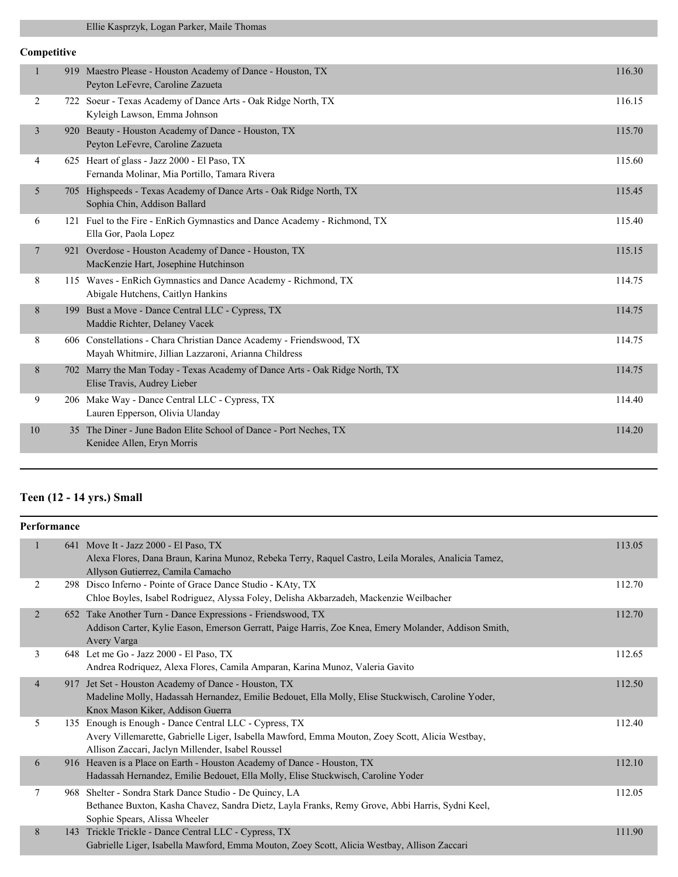## Ellie Kasprzyk, Logan Parker, Maile Thomas

## **Competitive**

| 116.15<br>722 Soeur - Texas Academy of Dance Arts - Oak Ridge North, TX<br>2<br>Kyleigh Lawson, Emma Johnson<br>$\overline{3}$<br>Beauty - Houston Academy of Dance - Houston, TX<br>115.70<br>920<br>Peyton LeFevre, Caroline Zazueta<br>625 Heart of glass - Jazz 2000 - El Paso, TX<br>115.60<br>4<br>Fernanda Molinar, Mia Portillo, Tamara Rivera<br>5 <sup>5</sup><br>705 Highspeeds - Texas Academy of Dance Arts - Oak Ridge North, TX<br>115.45<br>Sophia Chin, Addison Ballard<br>121 Fuel to the Fire - EnRich Gymnastics and Dance Academy - Richmond, TX<br>115.40<br>6<br>Ella Gor, Paola Lopez<br>921 Overdose - Houston Academy of Dance - Houston, TX<br>115.15<br>7<br>MacKenzie Hart, Josephine Hutchinson<br>8<br>115 Waves - EnRich Gymnastics and Dance Academy - Richmond, TX<br>114.75<br>Abigale Hutchens, Caitlyn Hankins<br>$8\,$<br>Bust a Move - Dance Central LLC - Cypress, TX<br>114.75<br>199<br>Maddie Richter, Delaney Vacek<br>8<br>606 Constellations - Chara Christian Dance Academy - Friendswood, TX<br>114.75<br>Mayah Whitmire, Jillian Lazzaroni, Arianna Childress<br>8<br>702 Marry the Man Today - Texas Academy of Dance Arts - Oak Ridge North, TX<br>114.75<br>Elise Travis, Audrey Lieber<br>9<br>206 Make Way - Dance Central LLC - Cypress, TX<br>114.40<br>Lauren Epperson, Olivia Ulanday<br>35 The Diner - June Badon Elite School of Dance - Port Neches, TX<br>114.20<br>10<br>Kenidee Allen, Eryn Morris | $\mathbf{1}$ | 919 | Maestro Please - Houston Academy of Dance - Houston, TX<br>Peyton LeFevre, Caroline Zazueta | 116.30 |
|--------------------------------------------------------------------------------------------------------------------------------------------------------------------------------------------------------------------------------------------------------------------------------------------------------------------------------------------------------------------------------------------------------------------------------------------------------------------------------------------------------------------------------------------------------------------------------------------------------------------------------------------------------------------------------------------------------------------------------------------------------------------------------------------------------------------------------------------------------------------------------------------------------------------------------------------------------------------------------------------------------------------------------------------------------------------------------------------------------------------------------------------------------------------------------------------------------------------------------------------------------------------------------------------------------------------------------------------------------------------------------------------------------------------------------------------------------------------|--------------|-----|---------------------------------------------------------------------------------------------|--------|
|                                                                                                                                                                                                                                                                                                                                                                                                                                                                                                                                                                                                                                                                                                                                                                                                                                                                                                                                                                                                                                                                                                                                                                                                                                                                                                                                                                                                                                                                    |              |     |                                                                                             |        |
|                                                                                                                                                                                                                                                                                                                                                                                                                                                                                                                                                                                                                                                                                                                                                                                                                                                                                                                                                                                                                                                                                                                                                                                                                                                                                                                                                                                                                                                                    |              |     |                                                                                             |        |
|                                                                                                                                                                                                                                                                                                                                                                                                                                                                                                                                                                                                                                                                                                                                                                                                                                                                                                                                                                                                                                                                                                                                                                                                                                                                                                                                                                                                                                                                    |              |     |                                                                                             |        |
|                                                                                                                                                                                                                                                                                                                                                                                                                                                                                                                                                                                                                                                                                                                                                                                                                                                                                                                                                                                                                                                                                                                                                                                                                                                                                                                                                                                                                                                                    |              |     |                                                                                             |        |
|                                                                                                                                                                                                                                                                                                                                                                                                                                                                                                                                                                                                                                                                                                                                                                                                                                                                                                                                                                                                                                                                                                                                                                                                                                                                                                                                                                                                                                                                    |              |     |                                                                                             |        |
|                                                                                                                                                                                                                                                                                                                                                                                                                                                                                                                                                                                                                                                                                                                                                                                                                                                                                                                                                                                                                                                                                                                                                                                                                                                                                                                                                                                                                                                                    |              |     |                                                                                             |        |
|                                                                                                                                                                                                                                                                                                                                                                                                                                                                                                                                                                                                                                                                                                                                                                                                                                                                                                                                                                                                                                                                                                                                                                                                                                                                                                                                                                                                                                                                    |              |     |                                                                                             |        |
|                                                                                                                                                                                                                                                                                                                                                                                                                                                                                                                                                                                                                                                                                                                                                                                                                                                                                                                                                                                                                                                                                                                                                                                                                                                                                                                                                                                                                                                                    |              |     |                                                                                             |        |
|                                                                                                                                                                                                                                                                                                                                                                                                                                                                                                                                                                                                                                                                                                                                                                                                                                                                                                                                                                                                                                                                                                                                                                                                                                                                                                                                                                                                                                                                    |              |     |                                                                                             |        |
|                                                                                                                                                                                                                                                                                                                                                                                                                                                                                                                                                                                                                                                                                                                                                                                                                                                                                                                                                                                                                                                                                                                                                                                                                                                                                                                                                                                                                                                                    |              |     |                                                                                             |        |
|                                                                                                                                                                                                                                                                                                                                                                                                                                                                                                                                                                                                                                                                                                                                                                                                                                                                                                                                                                                                                                                                                                                                                                                                                                                                                                                                                                                                                                                                    |              |     |                                                                                             |        |
|                                                                                                                                                                                                                                                                                                                                                                                                                                                                                                                                                                                                                                                                                                                                                                                                                                                                                                                                                                                                                                                                                                                                                                                                                                                                                                                                                                                                                                                                    |              |     |                                                                                             |        |

# **Teen (12 - 14 yrs.) Small**

| Performance    |     |                                                                                                                                                                                                                |        |
|----------------|-----|----------------------------------------------------------------------------------------------------------------------------------------------------------------------------------------------------------------|--------|
| 1              |     | 641 Move It - Jazz 2000 - El Paso, TX<br>Alexa Flores, Dana Braun, Karina Munoz, Rebeka Terry, Raquel Castro, Leila Morales, Analicia Tamez,<br>Allyson Gutierrez, Camila Camacho                              | 113.05 |
| 2              |     | 298 Disco Inferno - Pointe of Grace Dance Studio - KAty, TX<br>Chloe Boyles, Isabel Rodriguez, Alyssa Foley, Delisha Akbarzadeh, Mackenzie Weilbacher                                                          | 112.70 |
| $\overline{2}$ |     | 652 Take Another Turn - Dance Expressions - Friendswood, TX<br>Addison Carter, Kylie Eason, Emerson Gerratt, Paige Harris, Zoe Knea, Emery Molander, Addison Smith,<br>Avery Varga                             | 112.70 |
| 3              |     | 648 Let me Go - Jazz 2000 - El Paso, TX<br>Andrea Rodriquez, Alexa Flores, Camila Amparan, Karina Munoz, Valeria Gavito                                                                                        | 112.65 |
| $\overline{4}$ | 917 | Jet Set - Houston Academy of Dance - Houston, TX<br>Madeline Molly, Hadassah Hernandez, Emilie Bedouet, Ella Molly, Elise Stuckwisch, Caroline Yoder,<br>Knox Mason Kiker, Addison Guerra                      | 112.50 |
| 5              |     | 135 Enough is Enough - Dance Central LLC - Cypress, TX<br>Avery Villemarette, Gabrielle Liger, Isabella Mawford, Emma Mouton, Zoey Scott, Alicia Westbay,<br>Allison Zaccari, Jaclyn Millender, Isabel Roussel | 112.40 |
| 6              |     | 916 Heaven is a Place on Earth - Houston Academy of Dance - Houston, TX<br>Hadassah Hernandez, Emilie Bedouet, Ella Molly, Elise Stuckwisch, Caroline Yoder                                                    | 112.10 |
| 7              |     | 968 Shelter - Sondra Stark Dance Studio - De Quincy, LA<br>Bethanee Buxton, Kasha Chavez, Sandra Dietz, Layla Franks, Remy Grove, Abbi Harris, Sydni Keel,<br>Sophie Spears, Alissa Wheeler                    | 112.05 |
| 8              | 143 | Trickle Trickle - Dance Central LLC - Cypress, TX<br>Gabrielle Liger, Isabella Mawford, Emma Mouton, Zoey Scott, Alicia Westbay, Allison Zaccari                                                               | 111.90 |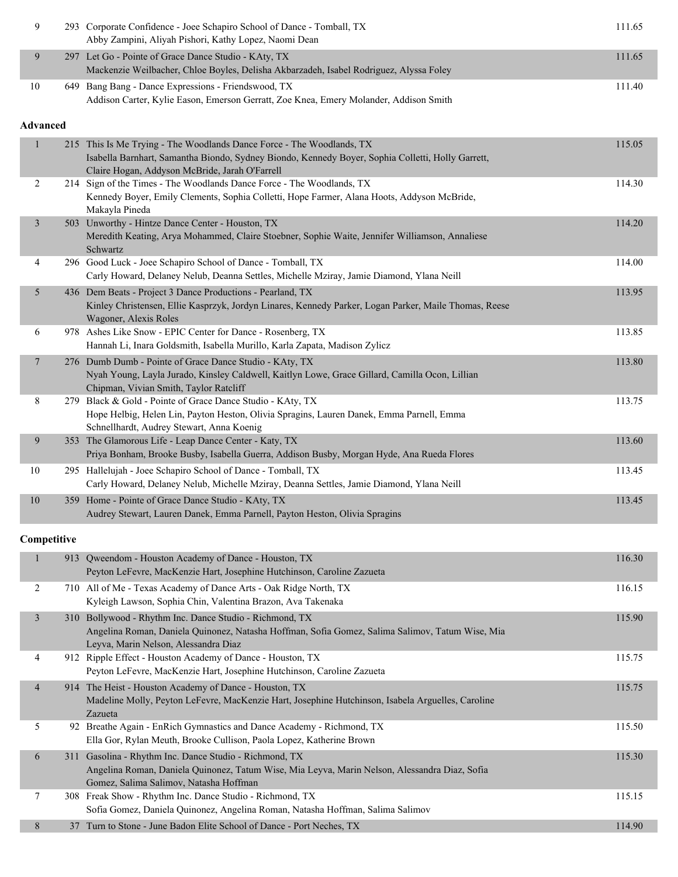| 9                       | 293 Corporate Confidence - Joee Schapiro School of Dance - Tomball, TX<br>Abby Zampini, Aliyah Pishori, Kathy Lopez, Naomi Dean                                                                                              | 111.65 |
|-------------------------|------------------------------------------------------------------------------------------------------------------------------------------------------------------------------------------------------------------------------|--------|
| 9                       | 297 Let Go - Pointe of Grace Dance Studio - KAty, TX<br>Mackenzie Weilbacher, Chloe Boyles, Delisha Akbarzadeh, Isabel Rodriguez, Alyssa Foley                                                                               | 111.65 |
| 10                      | 649 Bang Bang - Dance Expressions - Friendswood, TX<br>Addison Carter, Kylie Eason, Emerson Gerratt, Zoe Knea, Emery Molander, Addison Smith                                                                                 | 111.40 |
| <b>Advanced</b>         |                                                                                                                                                                                                                              |        |
| 1                       | 215 This Is Me Trying - The Woodlands Dance Force - The Woodlands, TX<br>Isabella Barnhart, Samantha Biondo, Sydney Biondo, Kennedy Boyer, Sophia Colletti, Holly Garrett,<br>Claire Hogan, Addyson McBride, Jarah O'Farrell | 115.05 |
| 2                       | 214 Sign of the Times - The Woodlands Dance Force - The Woodlands, TX<br>Kennedy Boyer, Emily Clements, Sophia Colletti, Hope Farmer, Alana Hoots, Addyson McBride,<br>Makayla Pineda                                        | 114.30 |
| $\overline{\mathbf{3}}$ | 503 Unworthy - Hintze Dance Center - Houston, TX<br>Meredith Keating, Arya Mohammed, Claire Stoebner, Sophie Waite, Jennifer Williamson, Annaliese<br>Schwartz                                                               | 114.20 |
| 4                       | 296 Good Luck - Joee Schapiro School of Dance - Tomball, TX<br>Carly Howard, Delaney Nelub, Deanna Settles, Michelle Mziray, Jamie Diamond, Ylana Neill                                                                      | 114.00 |
| 5                       | 436 Dem Beats - Project 3 Dance Productions - Pearland, TX<br>Kinley Christensen, Ellie Kasprzyk, Jordyn Linares, Kennedy Parker, Logan Parker, Maile Thomas, Reese<br>Wagoner, Alexis Roles                                 | 113.95 |
| 6                       | 978 Ashes Like Snow - EPIC Center for Dance - Rosenberg, TX<br>Hannah Li, Inara Goldsmith, Isabella Murillo, Karla Zapata, Madison Zylicz                                                                                    | 113.85 |
| 7                       | 276 Dumb Dumb - Pointe of Grace Dance Studio - KAty, TX<br>Nyah Young, Layla Jurado, Kinsley Caldwell, Kaitlyn Lowe, Grace Gillard, Camilla Ocon, Lillian<br>Chipman, Vivian Smith, Taylor Ratcliff                          | 113.80 |
| 8                       | 279 Black & Gold - Pointe of Grace Dance Studio - KAty, TX<br>Hope Helbig, Helen Lin, Payton Heston, Olivia Spragins, Lauren Danek, Emma Parnell, Emma<br>Schnellhardt, Audrey Stewart, Anna Koenig                          | 113.75 |
| 9                       | 353 The Glamorous Life - Leap Dance Center - Katy, TX<br>Priya Bonham, Brooke Busby, Isabella Guerra, Addison Busby, Morgan Hyde, Ana Rueda Flores                                                                           | 113.60 |
| 10                      | 295 Hallelujah - Joee Schapiro School of Dance - Tomball, TX<br>Carly Howard, Delaney Nelub, Michelle Mziray, Deanna Settles, Jamie Diamond, Ylana Neill                                                                     | 113.45 |
| 10                      | 359 Home - Pointe of Grace Dance Studio - KAty, TX<br>Audrey Stewart, Lauren Danek, Emma Parnell, Payton Heston, Olivia Spragins                                                                                             | 113.45 |
| Competitive             |                                                                                                                                                                                                                              |        |
| 1                       | 913 Qweendom - Houston Academy of Dance - Houston, TX<br>Peyton LeFevre, MacKenzie Hart, Josephine Hutchinson, Caroline Zazueta                                                                                              | 116.30 |
| 2                       | 710 All of Me - Texas Academy of Dance Arts - Oak Ridge North, TX<br>Kyleigh Lawson, Sophia Chin, Valentina Brazon, Ava Takenaka                                                                                             | 116.15 |
| $\mathfrak{Z}$          | 310 Bollywood - Rhythm Inc. Dance Studio - Richmond, TX<br>Angelina Roman, Daniela Quinonez, Natasha Hoffman, Sofia Gomez, Salima Salimov, Tatum Wise, Mia<br>Leyva, Marin Nelson, Alessandra Diaz                           | 115.90 |
| 4                       | 912 Ripple Effect - Houston Academy of Dance - Houston, TX<br>Peyton LeFevre, MacKenzie Hart, Josephine Hutchinson, Caroline Zazueta                                                                                         | 115.75 |
| 4                       | 914 The Heist - Houston Academy of Dance - Houston, TX<br>Madeline Molly, Peyton LeFevre, MacKenzie Hart, Josephine Hutchinson, Isabela Arguelles, Caroline<br>Zazueta                                                       | 115.75 |
| 5                       | 92 Breathe Again - EnRich Gymnastics and Dance Academy - Richmond, TX<br>Ella Gor, Rylan Meuth, Brooke Cullison, Paola Lopez, Katherine Brown                                                                                | 115.50 |
| 6                       | 311 Gasolina - Rhythm Inc. Dance Studio - Richmond, TX<br>Angelina Roman, Daniela Quinonez, Tatum Wise, Mia Leyva, Marin Nelson, Alessandra Diaz, Sofia<br>Gomez, Salima Salimov, Natasha Hoffman                            | 115.30 |
| 7                       | 308 Freak Show - Rhythm Inc. Dance Studio - Richmond, TX<br>Sofia Gomez, Daniela Quinonez, Angelina Roman, Natasha Hoffman, Salima Salimov                                                                                   | 115.15 |
| 8                       | 37 Turn to Stone - June Badon Elite School of Dance - Port Neches, TX                                                                                                                                                        | 114.90 |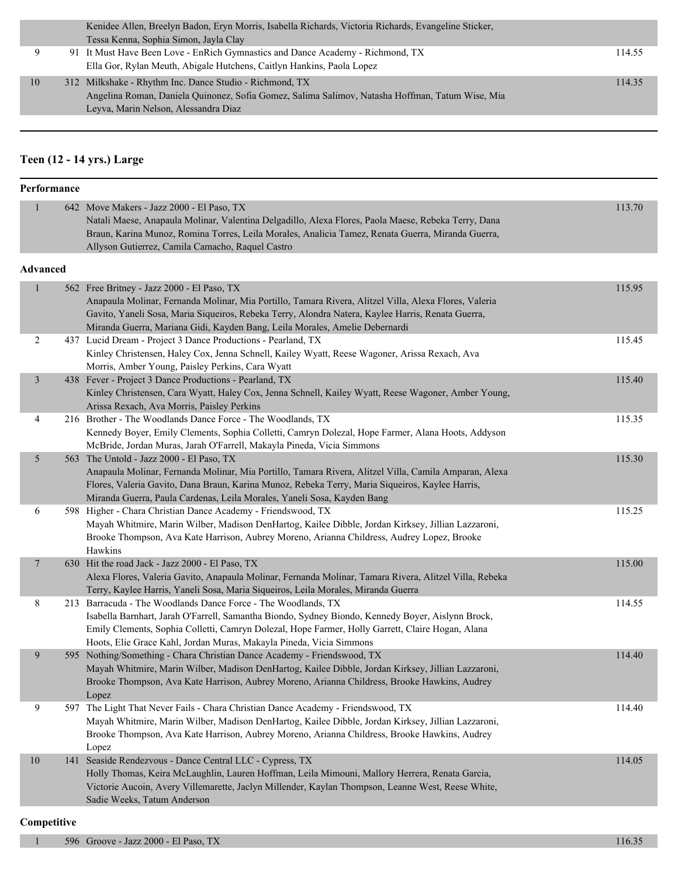|    | Kenidee Allen, Breelyn Badon, Eryn Morris, Isabella Richards, Victoria Richards, Evangeline Sticker, |        |
|----|------------------------------------------------------------------------------------------------------|--------|
|    | Tessa Kenna, Sophia Simon, Jayla Clay                                                                |        |
|    | 91 It Must Have Been Love - EnRich Gymnastics and Dance Academy - Richmond, TX                       | 114.55 |
|    | Ella Gor, Rylan Meuth, Abigale Hutchens, Caitlyn Hankins, Paola Lopez                                |        |
| 10 | 312 Milkshake - Rhythm Inc. Dance Studio - Richmond, TX                                              | 114.35 |
|    | Angelina Roman, Daniela Quinonez, Sofia Gomez, Salima Salimov, Natasha Hoffman, Tatum Wise, Mia      |        |
|    | Leyva, Marin Nelson, Alessandra Diaz                                                                 |        |

#### **Teen (12 - 14 yrs.) Large**

#### **Performance** 1 642 Move Makers - Jazz 2000 - El Paso, TX 113.70 Natali Maese, Anapaula Molinar, Valentina Delgadillo, Alexa Flores, Paola Maese, Rebeka Terry, Dana Braun, Karina Munoz, Romina Torres, Leila Morales, Analicia Tamez, Renata Guerra, Miranda Guerra, Allyson Gutierrez, Camila Camacho, Raquel Castro **Advanced** 1 562 Free Britney - Jazz 2000 - El Paso, TX 115.95 Anapaula Molinar, Fernanda Molinar, Mia Portillo, Tamara Rivera, Alitzel Villa, Alexa Flores, Valeria Gavito, Yaneli Sosa, Maria Siqueiros, Rebeka Terry, Alondra Natera, Kaylee Harris, Renata Guerra, Miranda Guerra, Mariana Gidi, Kayden Bang, Leila Morales, Amelie Debernardi 2 437 Lucid Dream - Project 3 Dance Productions - Pearland, TX 115.45 Kinley Christensen, Haley Cox, Jenna Schnell, Kailey Wyatt, Reese Wagoner, Arissa Rexach, Ava Morris, Amber Young, Paisley Perkins, Cara Wyatt 3 438 Fever - Project 3 Dance Productions - Pearland, TX 115.40 Kinley Christensen, Cara Wyatt, Haley Cox, Jenna Schnell, Kailey Wyatt, Reese Wagoner, Amber Young, Arissa Rexach, Ava Morris, Paisley Perkins 4 216 Brother - The Woodlands Dance Force - The Woodlands, TX 115.35 Kennedy Boyer, Emily Clements, Sophia Colletti, Camryn Dolezal, Hope Farmer, Alana Hoots, Addyson McBride, Jordan Muras, Jarah O'Farrell, Makayla Pineda, Vicia Simmons 5 563 The Untold - Jazz 2000 - El Paso, TX 115.30 Anapaula Molinar, Fernanda Molinar, Mia Portillo, Tamara Rivera, Alitzel Villa, Camila Amparan, Alexa Flores, Valeria Gavito, Dana Braun, Karina Munoz, Rebeka Terry, Maria Siqueiros, Kaylee Harris, Miranda Guerra, Paula Cardenas, Leila Morales, Yaneli Sosa, Kayden Bang 6 598 Higher - Chara Christian Dance Academy - Friendswood, TX 115.25 Mayah Whitmire, Marin Wilber, Madison DenHartog, Kailee Dibble, Jordan Kirksey, Jillian Lazzaroni, Brooke Thompson, Ava Kate Harrison, Aubrey Moreno, Arianna Childress, Audrey Lopez, Brooke Hawkins 7 630 Hit the road Jack - Jazz 2000 - El Paso, TX 115.00 Alexa Flores, Valeria Gavito, Anapaula Molinar, Fernanda Molinar, Tamara Rivera, Alitzel Villa, Rebeka Terry, Kaylee Harris, Yaneli Sosa, Maria Siqueiros, Leila Morales, Miranda Guerra 8 213 Barracuda - The Woodlands Dance Force - The Woodlands, TX 114.55 Isabella Barnhart, Jarah O'Farrell, Samantha Biondo, Sydney Biondo, Kennedy Boyer, Aislynn Brock, Emily Clements, Sophia Colletti, Camryn Dolezal, Hope Farmer, Holly Garrett, Claire Hogan, Alana Hoots, Elie Grace Kahl, Jordan Muras, Makayla Pineda, Vicia Simmons 9 595 Nothing/Something - Chara Christian Dance Academy - Friendswood, TX 114.40 Mayah Whitmire, Marin Wilber, Madison DenHartog, Kailee Dibble, Jordan Kirksey, Jillian Lazzaroni, Brooke Thompson, Ava Kate Harrison, Aubrey Moreno, Arianna Childress, Brooke Hawkins, Audrey Lopez 9 597 The Light That Never Fails - Chara Christian Dance Academy - Friendswood, TX 114.40 Mayah Whitmire, Marin Wilber, Madison DenHartog, Kailee Dibble, Jordan Kirksey, Jillian Lazzaroni, Brooke Thompson, Ava Kate Harrison, Aubrey Moreno, Arianna Childress, Brooke Hawkins, Audrey Lopez 10 141 Seaside Rendezvous - Dance Central LLC - Cypress, TX 114.05 Holly Thomas, Keira McLaughlin, Lauren Hoffman, Leila Mimouni, Mallory Herrera, Renata Garcia, Victorie Aucoin, Avery Villemarette, Jaclyn Millender, Kaylan Thompson, Leanne West, Reese White, Sadie Weeks, Tatum Anderson

#### **Competitive**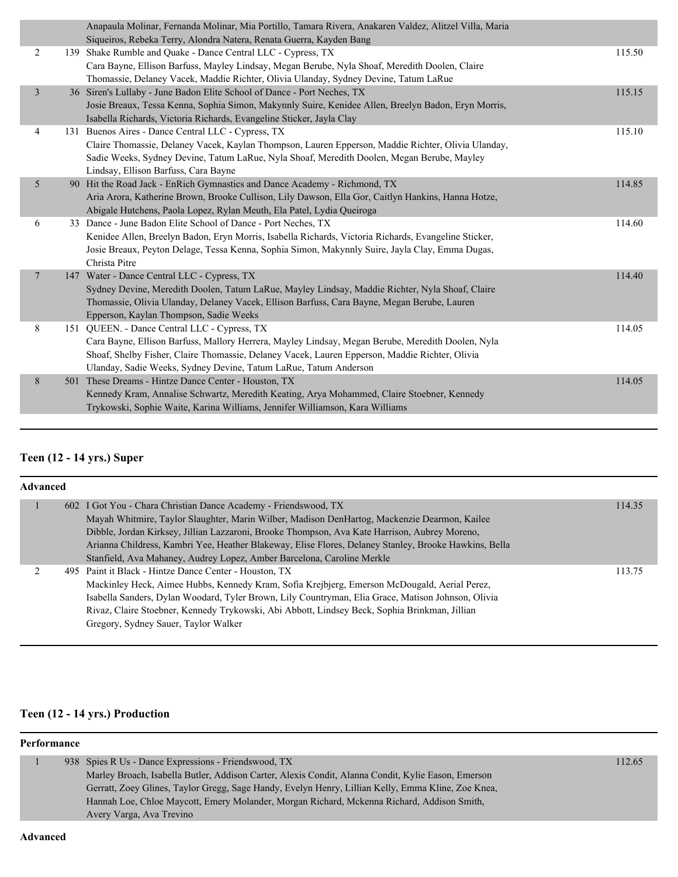|                |    | Anapaula Molinar, Fernanda Molinar, Mia Portillo, Tamara Rivera, Anakaren Valdez, Alitzel Villa, Maria                                 |        |
|----------------|----|----------------------------------------------------------------------------------------------------------------------------------------|--------|
| 2              |    | Siqueiros, Rebeka Terry, Alondra Natera, Renata Guerra, Kayden Bang<br>139 Shake Rumble and Quake - Dance Central LLC - Cypress, TX    | 115.50 |
|                |    |                                                                                                                                        |        |
|                |    | Cara Bayne, Ellison Barfuss, Mayley Lindsay, Megan Berube, Nyla Shoaf, Meredith Doolen, Claire                                         |        |
|                |    | Thomassie, Delaney Vacek, Maddie Richter, Olivia Ulanday, Sydney Devine, Tatum LaRue                                                   |        |
| $\overline{3}$ |    | 36 Siren's Lullaby - June Badon Elite School of Dance - Port Neches, TX                                                                | 115.15 |
|                |    | Josie Breaux, Tessa Kenna, Sophia Simon, Makynnly Suire, Kenidee Allen, Breelyn Badon, Eryn Morris,                                    |        |
|                |    | Isabella Richards, Victoria Richards, Evangeline Sticker, Jayla Clay                                                                   |        |
| 4              |    | 131 Buenos Aires - Dance Central LLC - Cypress, TX                                                                                     | 115.10 |
|                |    | Claire Thomassie, Delaney Vacek, Kaylan Thompson, Lauren Epperson, Maddie Richter, Olivia Ulanday,                                     |        |
|                |    | Sadie Weeks, Sydney Devine, Tatum LaRue, Nyla Shoaf, Meredith Doolen, Megan Berube, Mayley                                             |        |
| 5              |    | Lindsay, Ellison Barfuss, Cara Bayne<br>Hit the Road Jack - EnRich Gymnastics and Dance Academy - Richmond, TX                         | 114.85 |
|                | 90 |                                                                                                                                        |        |
|                |    | Aria Arora, Katherine Brown, Brooke Cullison, Lily Dawson, Ella Gor, Caitlyn Hankins, Hanna Hotze,                                     |        |
| 6              |    | Abigale Hutchens, Paola Lopez, Rylan Meuth, Ela Patel, Lydia Queiroga<br>33 Dance - June Badon Elite School of Dance - Port Neches, TX | 114.60 |
|                |    | Kenidee Allen, Breelyn Badon, Eryn Morris, Isabella Richards, Victoria Richards, Evangeline Sticker,                                   |        |
|                |    | Josie Breaux, Peyton Delage, Tessa Kenna, Sophia Simon, Makynnly Suire, Jayla Clay, Emma Dugas,                                        |        |
|                |    | Christa Pitre                                                                                                                          |        |
| $\tau$         |    | 147 Water - Dance Central LLC - Cypress, TX                                                                                            | 114.40 |
|                |    | Sydney Devine, Meredith Doolen, Tatum LaRue, Mayley Lindsay, Maddie Richter, Nyla Shoaf, Claire                                        |        |
|                |    | Thomassie, Olivia Ulanday, Delaney Vacek, Ellison Barfuss, Cara Bayne, Megan Berube, Lauren                                            |        |
|                |    | Epperson, Kaylan Thompson, Sadie Weeks                                                                                                 |        |
| 8              |    | 151 QUEEN. - Dance Central LLC - Cypress, TX                                                                                           | 114.05 |
|                |    | Cara Bayne, Ellison Barfuss, Mallory Herrera, Mayley Lindsay, Megan Berube, Meredith Doolen, Nyla                                      |        |
|                |    | Shoaf, Shelby Fisher, Claire Thomassie, Delaney Vacek, Lauren Epperson, Maddie Richter, Olivia                                         |        |
|                |    | Ulanday, Sadie Weeks, Sydney Devine, Tatum LaRue, Tatum Anderson                                                                       |        |
| 8              |    | 501 These Dreams - Hintze Dance Center - Houston, TX                                                                                   | 114.05 |
|                |    | Kennedy Kram, Annalise Schwartz, Meredith Keating, Arya Mohammed, Claire Stoebner, Kennedy                                             |        |
|                |    | Trykowski, Sophie Waite, Karina Williams, Jennifer Williamson, Kara Williams                                                           |        |
|                |    |                                                                                                                                        |        |

## **Teen (12 - 14 yrs.) Super**

| <b>Advanced</b> |  |                                                                                                       |        |  |
|-----------------|--|-------------------------------------------------------------------------------------------------------|--------|--|
|                 |  | 602 I Got You - Chara Christian Dance Academy - Friendswood, TX                                       | 114.35 |  |
|                 |  | Mayah Whitmire, Taylor Slaughter, Marin Wilber, Madison DenHartog, Mackenzie Dearmon, Kailee          |        |  |
|                 |  | Dibble, Jordan Kirksey, Jillian Lazzaroni, Brooke Thompson, Ava Kate Harrison, Aubrey Moreno,         |        |  |
|                 |  | Arianna Childress, Kambri Yee, Heather Blakeway, Elise Flores, Delaney Stanley, Brooke Hawkins, Bella |        |  |
|                 |  | Stanfield, Ava Mahaney, Audrey Lopez, Amber Barcelona, Caroline Merkle                                |        |  |
|                 |  | 495 Paint it Black - Hintze Dance Center - Houston, TX                                                | 113.75 |  |
|                 |  | Mackinley Heck, Aimee Hubbs, Kennedy Kram, Sofia Krejbjerg, Emerson McDougald, Aerial Perez,          |        |  |
|                 |  | Isabella Sanders, Dylan Woodard, Tyler Brown, Lily Countryman, Elia Grace, Matison Johnson, Olivia    |        |  |
|                 |  | Rivaz, Claire Stoebner, Kennedy Trykowski, Abi Abbott, Lindsey Beck, Sophia Brinkman, Jillian         |        |  |
|                 |  | Gregory, Sydney Sauer, Taylor Walker                                                                  |        |  |
|                 |  |                                                                                                       |        |  |

## **Teen (12 - 14 yrs.) Production**

| 938 Spies R Us - Dance Expressions - Friendswood, TX                                               | 112.65 |
|----------------------------------------------------------------------------------------------------|--------|
| Marley Broach, Isabella Butler, Addison Carter, Alexis Condit, Alanna Condit, Kylie Eason, Emerson |        |
| Gerratt, Zoey Glines, Taylor Gregg, Sage Handy, Evelyn Henry, Lillian Kelly, Emma Kline, Zoe Knea, |        |
| Hannah Loe, Chloe Maycott, Emery Molander, Morgan Richard, Mckenna Richard, Addison Smith,         |        |
| Avery Varga, Ava Trevino                                                                           |        |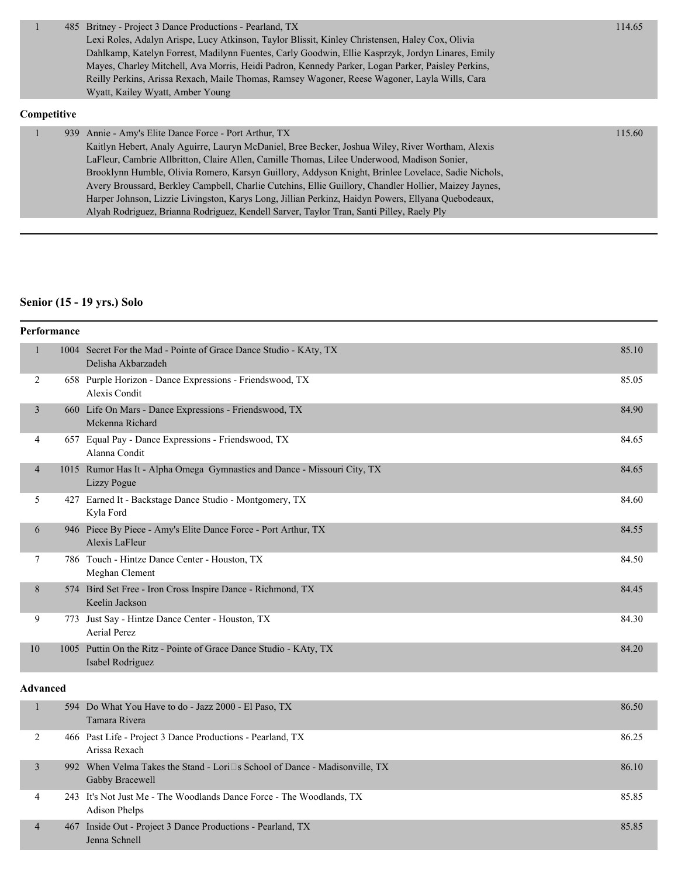|             | 485 Britney - Project 3 Dance Productions - Pearland, TX                                          | 114.65 |
|-------------|---------------------------------------------------------------------------------------------------|--------|
|             | Lexi Roles, Adalyn Arispe, Lucy Atkinson, Taylor Blissit, Kinley Christensen, Haley Cox, Olivia   |        |
|             | Dahlkamp, Katelyn Forrest, Madilynn Fuentes, Carly Goodwin, Ellie Kasprzyk, Jordyn Linares, Emily |        |
|             | Mayes, Charley Mitchell, Ava Morris, Heidi Padron, Kennedy Parker, Logan Parker, Paisley Perkins, |        |
|             | Reilly Perkins, Arissa Rexach, Maile Thomas, Ramsey Wagoner, Reese Wagoner, Layla Wills, Cara     |        |
|             | Wyatt, Kailey Wyatt, Amber Young                                                                  |        |
| Competitive |                                                                                                   |        |

#### 1 939 Annie - Amy's Elite Dance Force - Port Arthur, TX 115.60 Kaitlyn Hebert, Analy Aguirre, Lauryn McDaniel, Bree Becker, Joshua Wiley, River Wortham, Alexis LaFleur, Cambrie Allbritton, Claire Allen, Camille Thomas, Lilee Underwood, Madison Sonier, Brooklynn Humble, Olivia Romero, Karsyn Guillory, Addyson Knight, Brinlee Lovelace, Sadie Nichols, Avery Broussard, Berkley Campbell, Charlie Cutchins, Ellie Guillory, Chandler Hollier, Maizey Jaynes, Harper Johnson, Lizzie Livingston, Karys Long, Jillian Perkinz, Haidyn Powers, Ellyana Quebodeaux, Alyah Rodriguez, Brianna Rodriguez, Kendell Sarver, Taylor Tran, Santi Pilley, Raely Ply

#### **Senior (15 - 19 yrs.) Solo**

| Performance    |     |                                                                                         |       |
|----------------|-----|-----------------------------------------------------------------------------------------|-------|
| 1              |     | 1004 Secret For the Mad - Pointe of Grace Dance Studio - KAty, TX<br>Delisha Akbarzadeh | 85.10 |
| 2              |     | 658 Purple Horizon - Dance Expressions - Friendswood, TX<br>Alexis Condit               | 85.05 |
| $\overline{3}$ |     | 660 Life On Mars - Dance Expressions - Friendswood, TX<br>Mckenna Richard               | 84.90 |
| 4              |     | 657 Equal Pay - Dance Expressions - Friendswood, TX<br>Alanna Condit                    | 84.65 |
| 4              |     | 1015 Rumor Has It - Alpha Omega Gymnastics and Dance - Missouri City, TX<br>Lizzy Pogue | 84.65 |
| 5              | 427 | Earned It - Backstage Dance Studio - Montgomery, TX<br>Kyla Ford                        | 84.60 |
| 6              |     | 946 Piece By Piece - Amy's Elite Dance Force - Port Arthur, TX<br>Alexis LaFleur        | 84.55 |
| 7              |     | 786 Touch - Hintze Dance Center - Houston, TX<br>Meghan Clement                         | 84.50 |
| 8              |     | 574 Bird Set Free - Iron Cross Inspire Dance - Richmond, TX<br>Keelin Jackson           | 84.45 |
| 9              | 773 | Just Say - Hintze Dance Center - Houston, TX<br>Aerial Perez                            | 84.30 |
| 10             |     | 1005 Puttin On the Ritz - Pointe of Grace Dance Studio - KAty, TX<br>Isabel Rodriguez   | 84.20 |

#### **Advanced**

|   | 594 Do What You Have to do - Jazz 2000 - El Paso, TX<br>Tamara Rivera                                | 86.50 |
|---|------------------------------------------------------------------------------------------------------|-------|
|   | 466 Past Life - Project 3 Dance Productions - Pearland, TX<br>Arissa Rexach                          | 86.25 |
|   | 992 When Velma Takes the Stand - Lori $\Box$ s School of Dance - Madisonville, TX<br>Gabby Bracewell | 86.10 |
| 4 | 243 It's Not Just Me - The Woodlands Dance Force - The Woodlands, TX<br><b>Adison Phelps</b>         | 85.85 |
| 4 | 467 Inside Out - Project 3 Dance Productions - Pearland, TX<br>Jenna Schnell                         | 85.85 |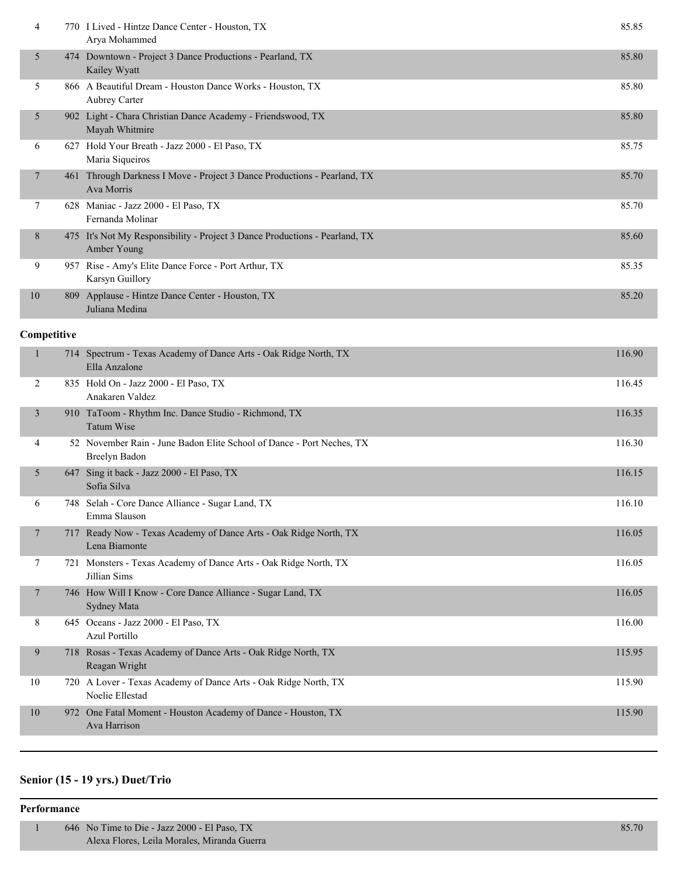| 4           |     | 770 I Lived - Hintze Dance Center - Houston, TX<br>Arya Mohammed                       | 85.85  |
|-------------|-----|----------------------------------------------------------------------------------------|--------|
| 5           | 474 | Downtown - Project 3 Dance Productions - Pearland, TX<br>Kailey Wyatt                  | 85.80  |
| 5           |     | 866 A Beautiful Dream - Houston Dance Works - Houston, TX<br><b>Aubrey Carter</b>      | 85.80  |
| 5           | 902 | Light - Chara Christian Dance Academy - Friendswood, TX<br>Mayah Whitmire              | 85.80  |
| 6           | 627 | Hold Your Breath - Jazz 2000 - El Paso, TX<br>Maria Siqueiros                          | 85.75  |
| 7           | 461 | Through Darkness I Move - Project 3 Dance Productions - Pearland, TX<br>Ava Morris     | 85.70  |
| 7           |     | 628 Maniac - Jazz 2000 - El Paso, TX<br>Fernanda Molinar                               | 85.70  |
| 8           | 475 | It's Not My Responsibility - Project 3 Dance Productions - Pearland, TX<br>Amber Young | 85.60  |
| 9           | 957 | Rise - Amy's Elite Dance Force - Port Arthur, TX<br>Karsyn Guillory                    | 85.35  |
| 10          | 809 | Applause - Hintze Dance Center - Houston, TX<br>Juliana Medina                         | 85.20  |
| Competitive |     |                                                                                        |        |
|             |     | 714 Spectrum - Texas Academy of Dance Arts - Oak Ridge North, TX                       | 116.90 |

|    |      | 714 Spectrum - Texas Academy of Dance Arts - Oak Ridge North, TX<br>Ella Anzalone      | 116.90 |
|----|------|----------------------------------------------------------------------------------------|--------|
| 2  |      | 835 Hold On - Jazz 2000 - El Paso, TX<br>Anakaren Valdez                               | 116.45 |
| 3  |      | 910 TaToom - Rhythm Inc. Dance Studio - Richmond, TX<br><b>Tatum Wise</b>              | 116.35 |
| 4  |      | 52 November Rain - June Badon Elite School of Dance - Port Neches, TX<br>Breelyn Badon | 116.30 |
| 5  | 647  | Sing it back - Jazz 2000 - El Paso, TX<br>Sofia Silva                                  | 116.15 |
| 6  | 748. | Selah - Core Dance Alliance - Sugar Land, TX<br>Emma Slauson                           | 116.10 |
| 7  | 717  | Ready Now - Texas Academy of Dance Arts - Oak Ridge North, TX<br>Lena Biamonte         | 116.05 |
| 7  |      | 721 Monsters - Texas Academy of Dance Arts - Oak Ridge North, TX<br>Jillian Sims       | 116.05 |
| 7  |      | 746 How Will I Know - Core Dance Alliance - Sugar Land, TX<br>Sydney Mata              | 116.05 |
| 8  |      | 645 Oceans - Jazz 2000 - El Paso, TX<br><b>Azul Portillo</b>                           | 116.00 |
| 9  |      | 718 Rosas - Texas Academy of Dance Arts - Oak Ridge North, TX<br>Reagan Wright         | 115.95 |
| 10 |      | 720 A Lover - Texas Academy of Dance Arts - Oak Ridge North, TX<br>Noelie Ellestad     | 115.90 |
| 10 |      | 972 One Fatal Moment - Houston Academy of Dance - Houston, TX<br>Ava Harrison          | 115.90 |
|    |      |                                                                                        |        |

# **Senior (15 - 19 yrs.) Duet/Trio**

| 646 No Time to Die - Jazz 2000 - El Paso, TX | 85.70 |
|----------------------------------------------|-------|
| Alexa Flores, Leila Morales, Miranda Guerra  |       |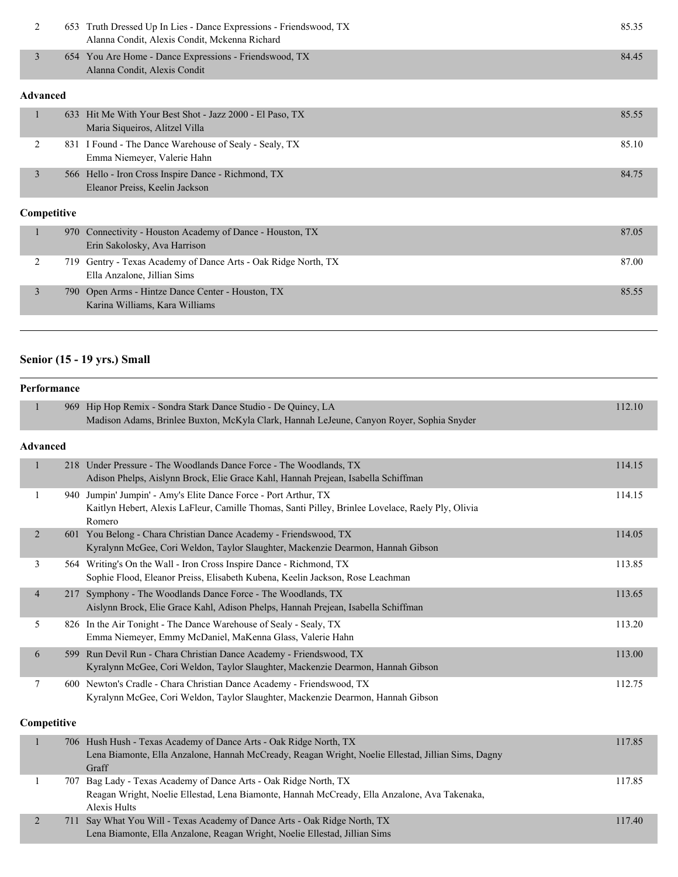| 2               | 653  | Truth Dressed Up In Lies - Dance Expressions - Friendswood, TX<br>Alanna Condit, Alexis Condit, Mckenna Richard | 85.35 |  |
|-----------------|------|-----------------------------------------------------------------------------------------------------------------|-------|--|
| $\overline{3}$  |      | 654 You Are Home - Dance Expressions - Friendswood, TX<br>Alanna Condit, Alexis Condit                          | 84.45 |  |
| <b>Advanced</b> |      |                                                                                                                 |       |  |
| 1               |      | 633 Hit Me With Your Best Shot - Jazz 2000 - El Paso, TX<br>Maria Siqueiros, Alitzel Villa                      | 85.55 |  |
| 2               | 831  | I Found - The Dance Warehouse of Sealy - Sealy, TX<br>Emma Niemeyer, Valerie Hahn                               | 85.10 |  |
| $\overline{3}$  |      | 566 Hello - Iron Cross Inspire Dance - Richmond, TX<br>Eleanor Preiss, Keelin Jackson                           | 84.75 |  |
| Competitive     |      |                                                                                                                 |       |  |
|                 |      | 970 Connectivity - Houston Academy of Dance - Houston, TX<br>Erin Sakolosky, Ava Harrison                       | 87.05 |  |
| 2               | 719. | Gentry - Texas Academy of Dance Arts - Oak Ridge North, TX<br>Elle Anzelone, Ellian Cime                        | 87.00 |  |

| Ella Anzalone, Jillian Sims                       |  |
|---------------------------------------------------|--|
| 790 Open Arms - Hintze Dance Center - Houston, TX |  |
| Karina Williams, Kara Williams                    |  |

# **Senior (15 - 19 yrs.) Small**

| Performance    |                 |                                                                                                                                                                                  |        |  |
|----------------|-----------------|----------------------------------------------------------------------------------------------------------------------------------------------------------------------------------|--------|--|
| $\mathbf{1}$   |                 | 969 Hip Hop Remix - Sondra Stark Dance Studio - De Quincy, LA<br>Madison Adams, Brinlee Buxton, McKyla Clark, Hannah LeJeune, Canyon Royer, Sophia Snyder                        | 112.10 |  |
|                | <b>Advanced</b> |                                                                                                                                                                                  |        |  |
| $\mathbf{1}$   |                 | 218 Under Pressure - The Woodlands Dance Force - The Woodlands, TX<br>Adison Phelps, Aislynn Brock, Elie Grace Kahl, Hannah Prejean, Isabella Schiffman                          | 114.15 |  |
| 1              |                 | 940 Jumpin' Jumpin' - Amy's Elite Dance Force - Port Arthur, TX<br>Kaitlyn Hebert, Alexis LaFleur, Camille Thomas, Santi Pilley, Brinlee Lovelace, Raely Ply, Olivia<br>Romero   | 114.15 |  |
| $\overline{2}$ |                 | 601 You Belong - Chara Christian Dance Academy - Friendswood, TX<br>Kyralynn McGee, Cori Weldon, Taylor Slaughter, Mackenzie Dearmon, Hannah Gibson                              | 114.05 |  |
| 3              |                 | 564 Writing's On the Wall - Iron Cross Inspire Dance - Richmond, TX<br>Sophie Flood, Eleanor Preiss, Elisabeth Kubena, Keelin Jackson, Rose Leachman                             | 113.85 |  |
| $\overline{4}$ |                 | 217 Symphony - The Woodlands Dance Force - The Woodlands, TX<br>Aislynn Brock, Elie Grace Kahl, Adison Phelps, Hannah Prejean, Isabella Schiffman                                | 113.65 |  |
| 5              |                 | 826 In the Air Tonight - The Dance Warehouse of Sealy - Sealy, TX<br>Emma Niemeyer, Emmy McDaniel, MaKenna Glass, Valerie Hahn                                                   | 113.20 |  |
| 6              |                 | 599 Run Devil Run - Chara Christian Dance Academy - Friendswood, TX<br>Kyralynn McGee, Cori Weldon, Taylor Slaughter, Mackenzie Dearmon, Hannah Gibson                           | 113.00 |  |
| $\tau$         |                 | 600 Newton's Cradle - Chara Christian Dance Academy - Friendswood, TX<br>Kyralynn McGee, Cori Weldon, Taylor Slaughter, Mackenzie Dearmon, Hannah Gibson                         | 112.75 |  |
|                | Competitive     |                                                                                                                                                                                  |        |  |
| $\mathbf{1}$   |                 | 706 Hush Hush - Texas Academy of Dance Arts - Oak Ridge North, TX<br>Lena Biamonte, Ella Anzalone, Hannah McCready, Reagan Wright, Noelie Ellestad, Jillian Sims, Dagny<br>Graff | 117.85 |  |
| 1              |                 | 707 Bag Lady - Texas Academy of Dance Arts - Oak Ridge North, TX<br>Reagan Wright, Noelie Ellestad, Lena Biamonte, Hannah McCready, Ella Anzalone, Ava Takenaka,                 | 117.85 |  |

Alexis Hults 2 711 Say What You Will - Texas Academy of Dance Arts - Oak Ridge North, TX 117.40 Lena Biamonte, Ella Anzalone, Reagan Wright, Noelie Ellestad, Jillian Sims